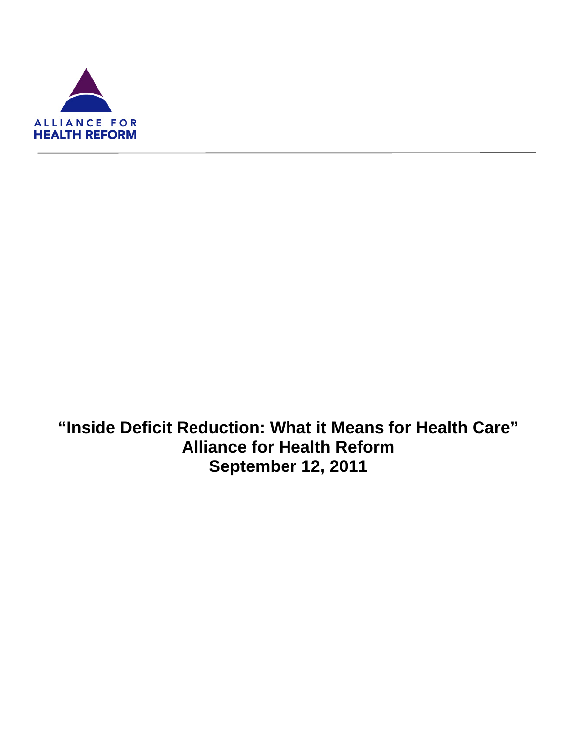

ı

**"Inside Deficit Reduction: What it Means for Health Care" Alliance for Health Reform September 12, 2011**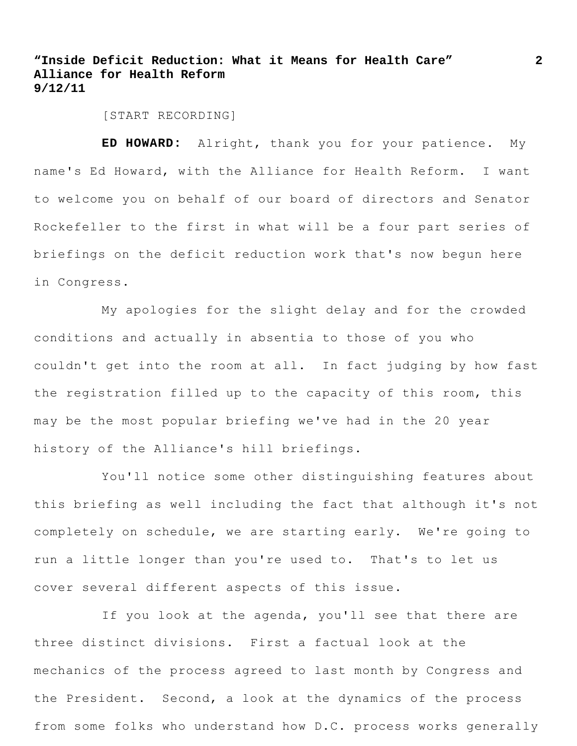[START RECORDING]

**ED HOWARD:** Alright, thank you for your patience. My name's Ed Howard, with the Alliance for Health Reform. I want to welcome you on behalf of our board of directors and Senator Rockefeller to the first in what will be a four part series of briefings on the deficit reduction work that's now begun here in Congress.

My apologies for the slight delay and for the crowded conditions and actually in absentia to those of you who couldn't get into the room at all. In fact judging by how fast the registration filled up to the capacity of this room, this may be the most popular briefing we've had in the 20 year history of the Alliance's hill briefings.

You'll notice some other distinguishing features about this briefing as well including the fact that although it's not completely on schedule, we are starting early. We're going to run a little longer than you're used to. That's to let us cover several different aspects of this issue.

If you look at the agenda, you'll see that there are three distinct divisions. First a factual look at the mechanics of the process agreed to last month by Congress and the President. Second, a look at the dynamics of the process from some folks who understand how D.C. process works generally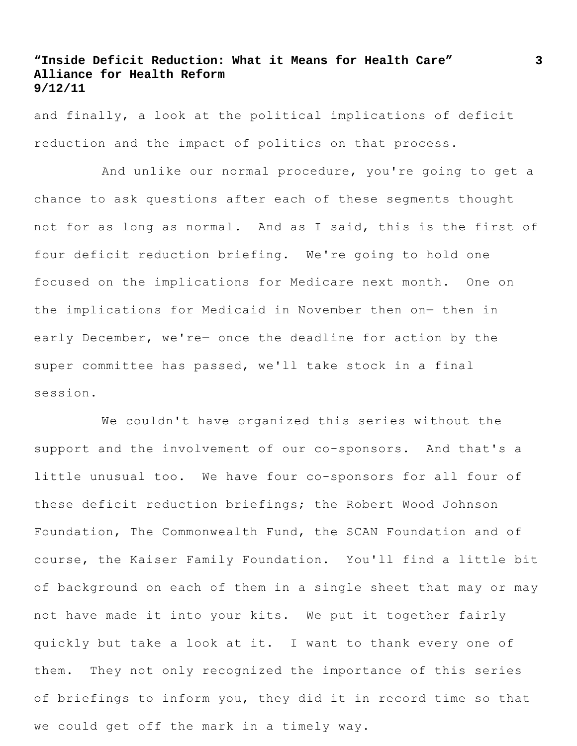and finally, a look at the political implications of deficit reduction and the impact of politics on that process.

And unlike our normal procedure, you're going to get a chance to ask questions after each of these segments thought not for as long as normal. And as I said, this is the first of four deficit reduction briefing. We're going to hold one focused on the implications for Medicare next month. One on the implications for Medicaid in November then on― then in early December, we're- once the deadline for action by the super committee has passed, we'll take stock in a final session.

We couldn't have organized this series without the support and the involvement of our co-sponsors. And that's a little unusual too. We have four co-sponsors for all four of these deficit reduction briefings; the Robert Wood Johnson Foundation, The Commonwealth Fund, the SCAN Foundation and of course, the Kaiser Family Foundation. You'll find a little bit of background on each of them in a single sheet that may or may not have made it into your kits. We put it together fairly quickly but take a look at it. I want to thank every one of them. They not only recognized the importance of this series of briefings to inform you, they did it in record time so that we could get off the mark in a timely way.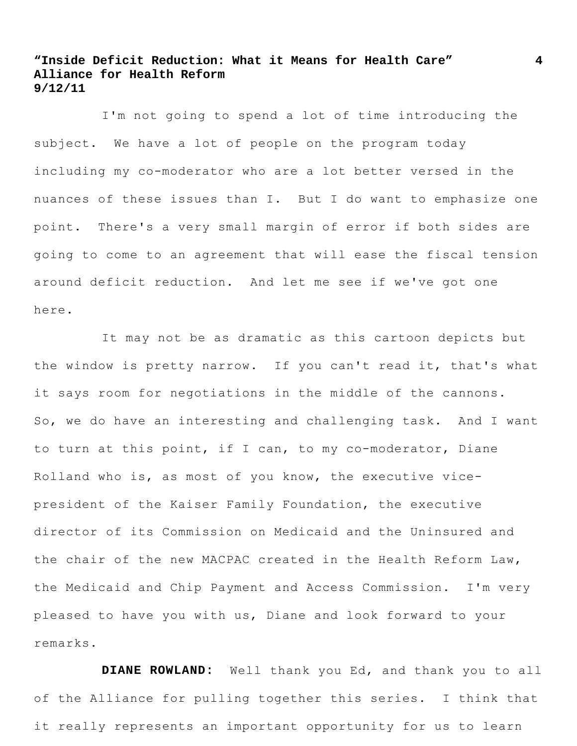I'm not going to spend a lot of time introducing the subject. We have a lot of people on the program today including my co-moderator who are a lot better versed in the nuances of these issues than I. But I do want to emphasize one point. There's a very small margin of error if both sides are going to come to an agreement that will ease the fiscal tension around deficit reduction. And let me see if we've got one here.

It may not be as dramatic as this cartoon depicts but the window is pretty narrow. If you can't read it, that's what it says room for negotiations in the middle of the cannons. So, we do have an interesting and challenging task. And I want to turn at this point, if I can, to my co-moderator, Diane Rolland who is, as most of you know, the executive vicepresident of the Kaiser Family Foundation, the executive director of its Commission on Medicaid and the Uninsured and the chair of the new MACPAC created in the Health Reform Law, the Medicaid and Chip Payment and Access Commission. I'm very pleased to have you with us, Diane and look forward to your remarks.

**DIANE ROWLAND:** Well thank you Ed, and thank you to all of the Alliance for pulling together this series. I think that it really represents an important opportunity for us to learn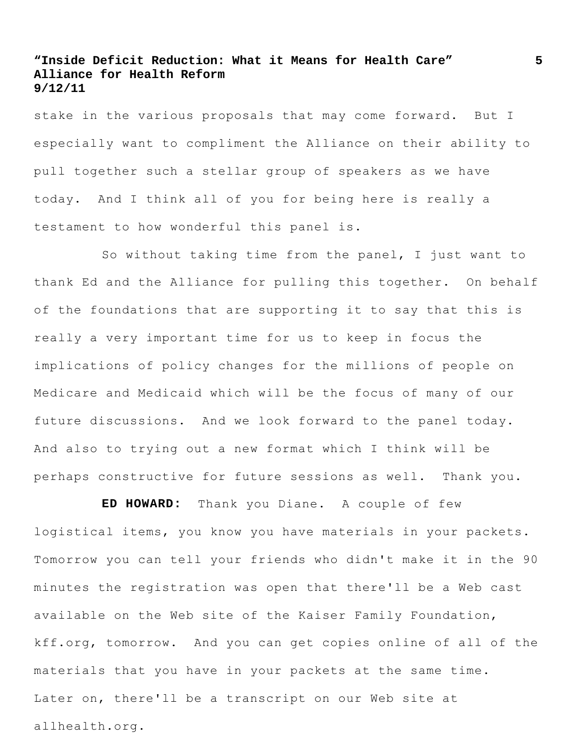stake in the various proposals that may come forward. But I especially want to compliment the Alliance on their ability to pull together such a stellar group of speakers as we have today. And I think all of you for being here is really a testament to how wonderful this panel is.

So without taking time from the panel, I just want to thank Ed and the Alliance for pulling this together. On behalf of the foundations that are supporting it to say that this is really a very important time for us to keep in focus the implications of policy changes for the millions of people on Medicare and Medicaid which will be the focus of many of our future discussions. And we look forward to the panel today. And also to trying out a new format which I think will be perhaps constructive for future sessions as well. Thank you.

**ED HOWARD:** Thank you Diane. A couple of few logistical items, you know you have materials in your packets. Tomorrow you can tell your friends who didn't make it in the 90 minutes the registration was open that there'll be a Web cast available on the Web site of the Kaiser Family Foundation, kff.org, tomorrow. And you can get copies online of all of the materials that you have in your packets at the same time. Later on, there'll be a transcript on our Web site at allhealth.org.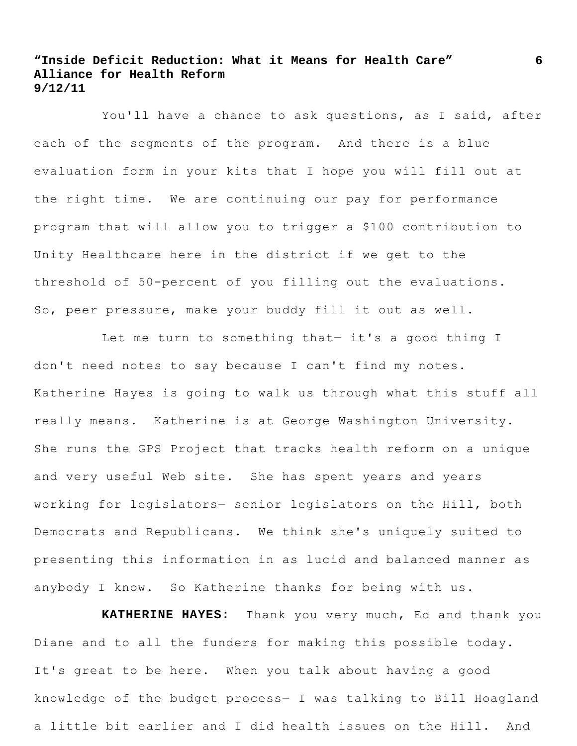You'll have a chance to ask questions, as I said, after each of the segments of the program. And there is a blue evaluation form in your kits that I hope you will fill out at the right time. We are continuing our pay for performance program that will allow you to trigger a \$100 contribution to Unity Healthcare here in the district if we get to the threshold of 50-percent of you filling out the evaluations. So, peer pressure, make your buddy fill it out as well.

Let me turn to something that- it's a good thing I don't need notes to say because I can't find my notes. Katherine Hayes is going to walk us through what this stuff all really means. Katherine is at George Washington University. She runs the GPS Project that tracks health reform on a unique and very useful Web site. She has spent years and years working for legislators― senior legislators on the Hill, both Democrats and Republicans. We think she's uniquely suited to presenting this information in as lucid and balanced manner as anybody I know. So Katherine thanks for being with us.

**KATHERINE HAYES:** Thank you very much, Ed and thank you Diane and to all the funders for making this possible today. It's great to be here. When you talk about having a good knowledge of the budget process― I was talking to Bill Hoagland a little bit earlier and I did health issues on the Hill. And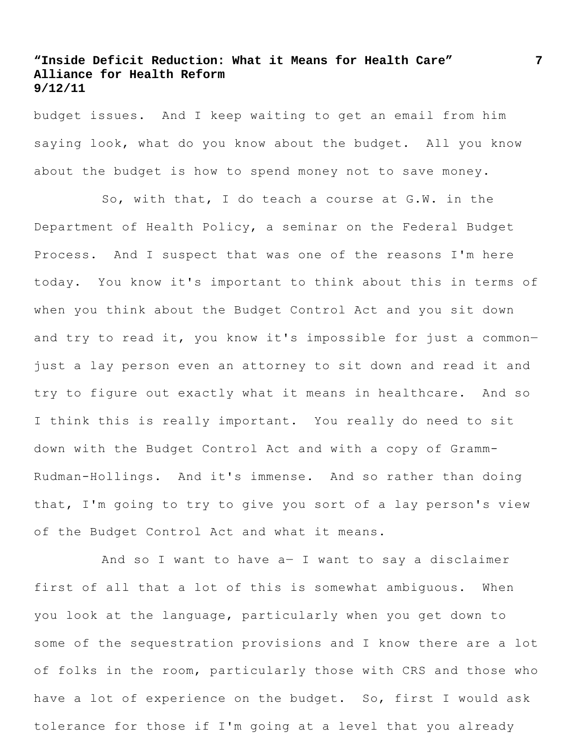budget issues. And I keep waiting to get an email from him saying look, what do you know about the budget. All you know about the budget is how to spend money not to save money.

So, with that, I do teach a course at G.W. in the Department of Health Policy, a seminar on the Federal Budget Process. And I suspect that was one of the reasons I'm here today. You know it's important to think about this in terms of when you think about the Budget Control Act and you sit down and try to read it, you know it's impossible for just a commonjust a lay person even an attorney to sit down and read it and try to figure out exactly what it means in healthcare. And so I think this is really important. You really do need to sit down with the Budget Control Act and with a copy of Gramm-Rudman-Hollings. And it's immense. And so rather than doing that, I'm going to try to give you sort of a lay person's view of the Budget Control Act and what it means.

And so I want to have a― I want to say a disclaimer first of all that a lot of this is somewhat ambiguous. When you look at the language, particularly when you get down to some of the sequestration provisions and I know there are a lot of folks in the room, particularly those with CRS and those who have a lot of experience on the budget. So, first I would ask tolerance for those if I'm going at a level that you already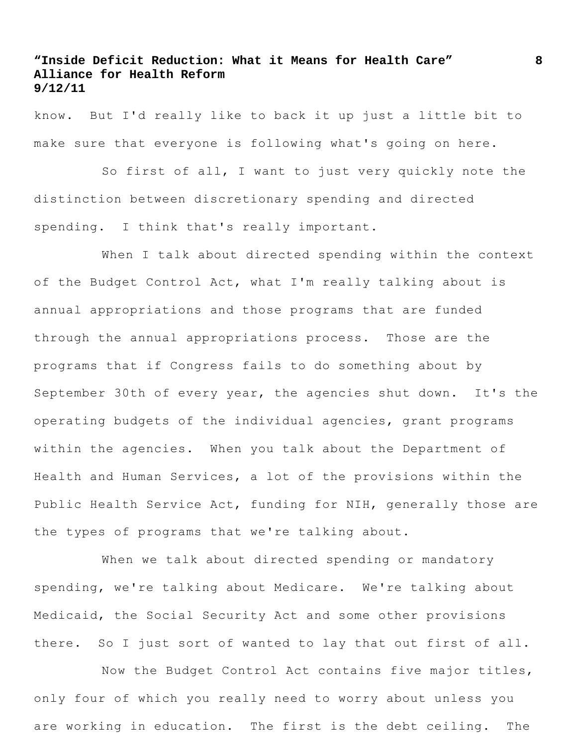know. But I'd really like to back it up just a little bit to make sure that everyone is following what's going on here.

So first of all, I want to just very quickly note the distinction between discretionary spending and directed spending. I think that's really important.

When I talk about directed spending within the context of the Budget Control Act, what I'm really talking about is annual appropriations and those programs that are funded through the annual appropriations process. Those are the programs that if Congress fails to do something about by September 30th of every year, the agencies shut down. It's the operating budgets of the individual agencies, grant programs within the agencies. When you talk about the Department of Health and Human Services, a lot of the provisions within the Public Health Service Act, funding for NIH, generally those are the types of programs that we're talking about.

When we talk about directed spending or mandatory spending, we're talking about Medicare. We're talking about Medicaid, the Social Security Act and some other provisions there. So I just sort of wanted to lay that out first of all.

Now the Budget Control Act contains five major titles, only four of which you really need to worry about unless you are working in education. The first is the debt ceiling. The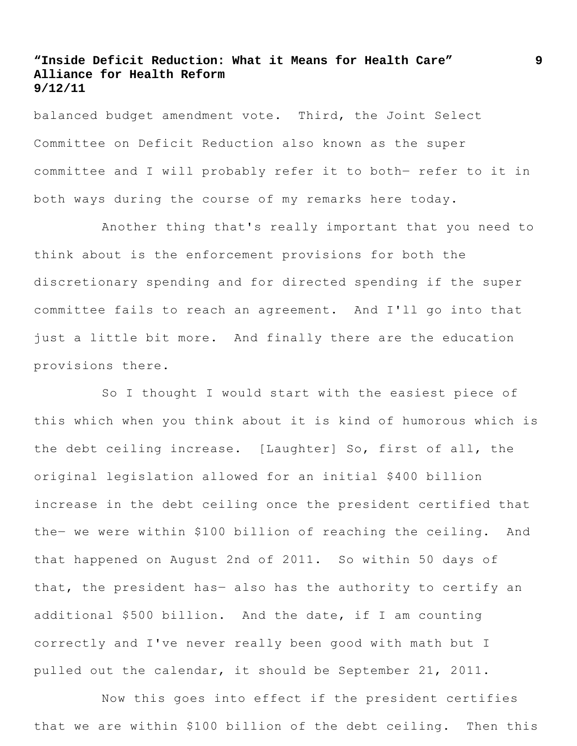balanced budget amendment vote. Third, the Joint Select Committee on Deficit Reduction also known as the super committee and I will probably refer it to both― refer to it in both ways during the course of my remarks here today.

Another thing that's really important that you need to think about is the enforcement provisions for both the discretionary spending and for directed spending if the super committee fails to reach an agreement. And I'll go into that just a little bit more. And finally there are the education provisions there.

So I thought I would start with the easiest piece of this which when you think about it is kind of humorous which is the debt ceiling increase. [Laughter] So, first of all, the original legislation allowed for an initial \$400 billion increase in the debt ceiling once the president certified that the― we were within \$100 billion of reaching the ceiling. And that happened on August 2nd of 2011. So within 50 days of that, the president has― also has the authority to certify an additional \$500 billion. And the date, if I am counting correctly and I've never really been good with math but I pulled out the calendar, it should be September 21, 2011.

Now this goes into effect if the president certifies that we are within \$100 billion of the debt ceiling. Then this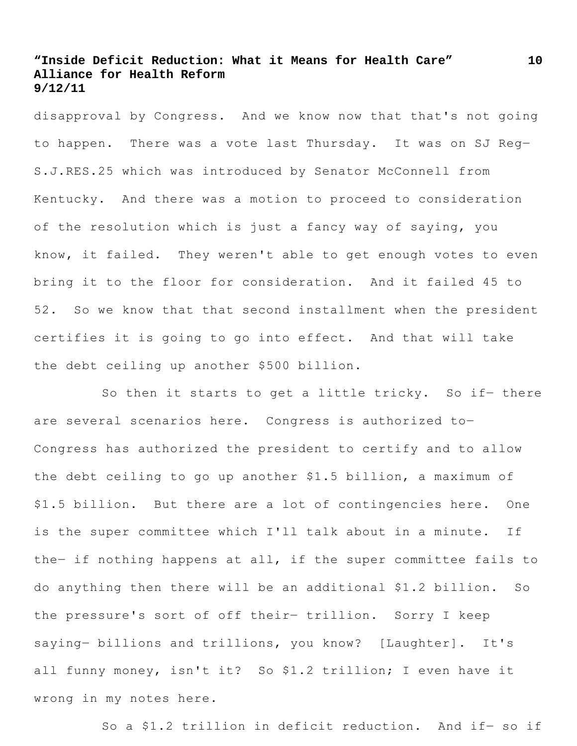disapproval by Congress. And we know now that that's not going to happen. There was a vote last Thursday. It was on SJ Reg― S.J.RES.25 which was introduced by Senator McConnell from Kentucky. And there was a motion to proceed to consideration of the resolution which is just a fancy way of saying, you know, it failed. They weren't able to get enough votes to even bring it to the floor for consideration. And it failed 45 to 52. So we know that that second installment when the president certifies it is going to go into effect. And that will take the debt ceiling up another \$500 billion.

So then it starts to get a little tricky. So if- there are several scenarios here. Congress is authorized to― Congress has authorized the president to certify and to allow the debt ceiling to go up another \$1.5 billion, a maximum of \$1.5 billion. But there are a lot of contingencies here. One is the super committee which I'll talk about in a minute. If the- if nothing happens at all, if the super committee fails to do anything then there will be an additional \$1.2 billion. So the pressure's sort of off their― trillion. Sorry I keep saying― billions and trillions, you know? [Laughter]. It's all funny money, isn't it? So \$1.2 trillion; I even have it wrong in my notes here.

So a \$1.2 trillion in deficit reduction. And if- so if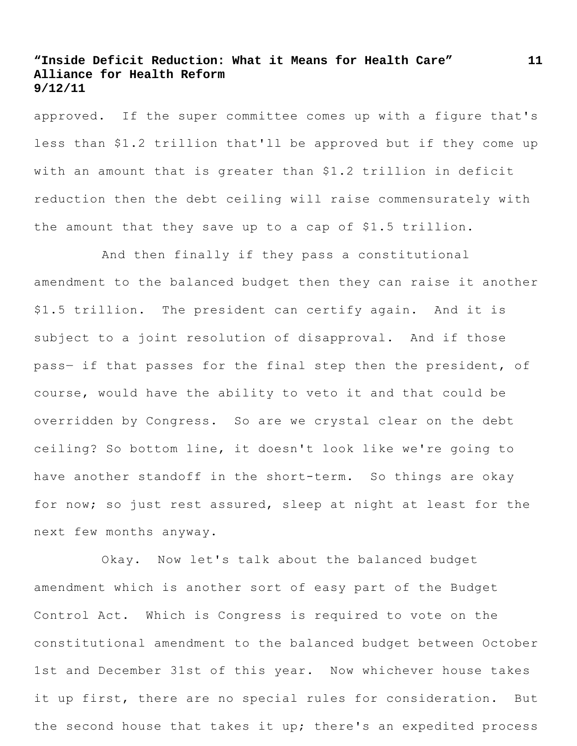approved. If the super committee comes up with a figure that's less than \$1.2 trillion that'll be approved but if they come up with an amount that is greater than \$1.2 trillion in deficit reduction then the debt ceiling will raise commensurately with the amount that they save up to a cap of \$1.5 trillion.

And then finally if they pass a constitutional amendment to the balanced budget then they can raise it another \$1.5 trillion. The president can certify again. And it is subject to a joint resolution of disapproval. And if those pass― if that passes for the final step then the president, of course, would have the ability to veto it and that could be overridden by Congress. So are we crystal clear on the debt ceiling? So bottom line, it doesn't look like we're going to have another standoff in the short-term. So things are okay for now; so just rest assured, sleep at night at least for the next few months anyway.

Okay. Now let's talk about the balanced budget amendment which is another sort of easy part of the Budget Control Act. Which is Congress is required to vote on the constitutional amendment to the balanced budget between October 1st and December 31st of this year. Now whichever house takes it up first, there are no special rules for consideration. But the second house that takes it up; there's an expedited process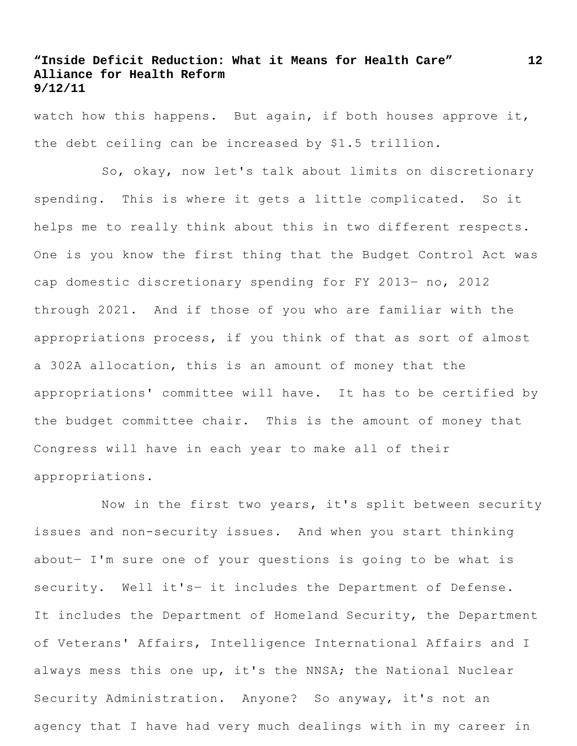watch how this happens. But again, if both houses approve it, the debt ceiling can be increased by \$1.5 trillion.

So, okay, now let's talk about limits on discretionary spending. This is where it gets a little complicated. So it helps me to really think about this in two different respects. One is you know the first thing that the Budget Control Act was cap domestic discretionary spending for FY 2013― no, 2012 through 2021. And if those of you who are familiar with the appropriations process, if you think of that as sort of almost a 302A allocation, this is an amount of money that the appropriations' committee will have. It has to be certified by the budget committee chair. This is the amount of money that Congress will have in each year to make all of their appropriations.

Now in the first two years, it's split between security issues and non-security issues. And when you start thinking about― I'm sure one of your questions is going to be what is security. Well it's- it includes the Department of Defense. It includes the Department of Homeland Security, the Department of Veterans' Affairs, Intelligence International Affairs and I always mess this one up, it's the NNSA; the National Nuclear Security Administration. Anyone? So anyway, it's not an agency that I have had very much dealings with in my career in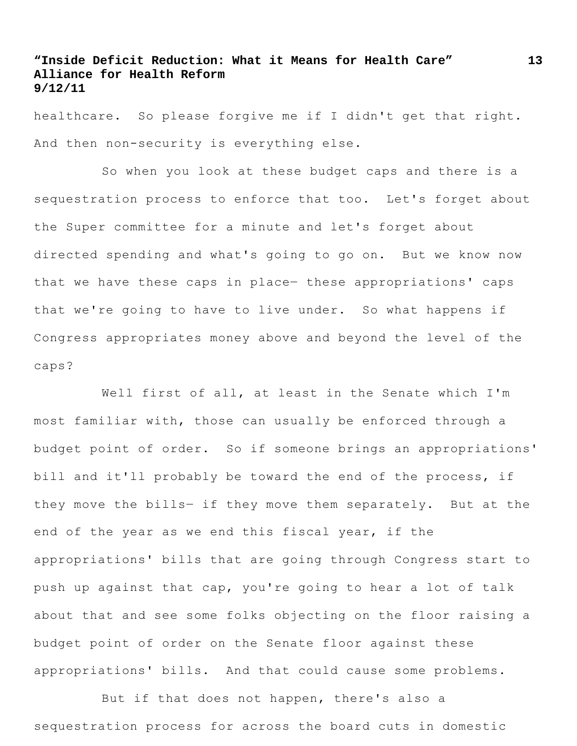healthcare. So please forgive me if I didn't get that right. And then non-security is everything else.

So when you look at these budget caps and there is a sequestration process to enforce that too. Let's forget about the Super committee for a minute and let's forget about directed spending and what's going to go on. But we know now that we have these caps in place― these appropriations' caps that we're going to have to live under. So what happens if Congress appropriates money above and beyond the level of the caps?

Well first of all, at least in the Senate which I'm most familiar with, those can usually be enforced through a budget point of order. So if someone brings an appropriations' bill and it'll probably be toward the end of the process, if they move the bills- if they move them separately. But at the end of the year as we end this fiscal year, if the appropriations' bills that are going through Congress start to push up against that cap, you're going to hear a lot of talk about that and see some folks objecting on the floor raising a budget point of order on the Senate floor against these appropriations' bills. And that could cause some problems.

But if that does not happen, there's also a sequestration process for across the board cuts in domestic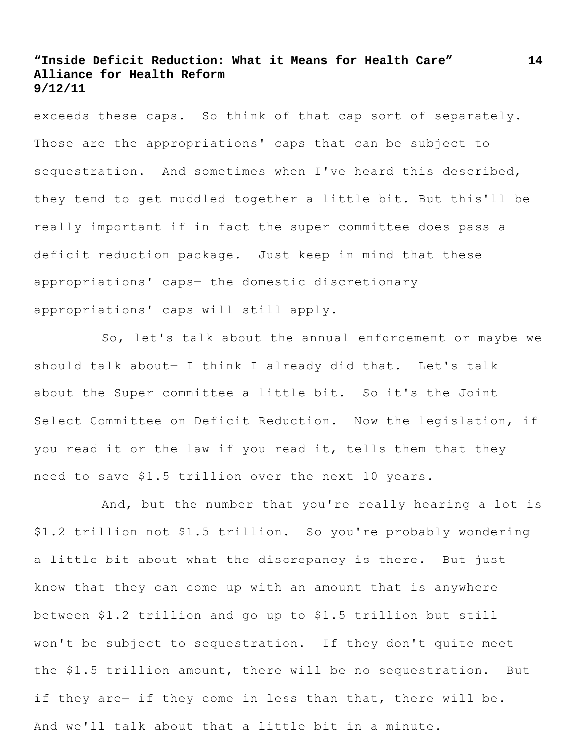exceeds these caps. So think of that cap sort of separately. Those are the appropriations' caps that can be subject to sequestration. And sometimes when I've heard this described, they tend to get muddled together a little bit. But this'll be really important if in fact the super committee does pass a deficit reduction package. Just keep in mind that these appropriations' caps― the domestic discretionary appropriations' caps will still apply.

So, let's talk about the annual enforcement or maybe we should talk about- I think I already did that. Let's talk about the Super committee a little bit. So it's the Joint Select Committee on Deficit Reduction. Now the legislation, if you read it or the law if you read it, tells them that they need to save \$1.5 trillion over the next 10 years.

And, but the number that you're really hearing a lot is \$1.2 trillion not \$1.5 trillion. So you're probably wondering a little bit about what the discrepancy is there. But just know that they can come up with an amount that is anywhere between \$1.2 trillion and go up to \$1.5 trillion but still won't be subject to sequestration. If they don't quite meet the \$1.5 trillion amount, there will be no sequestration. But if they are- if they come in less than that, there will be. And we'll talk about that a little bit in a minute.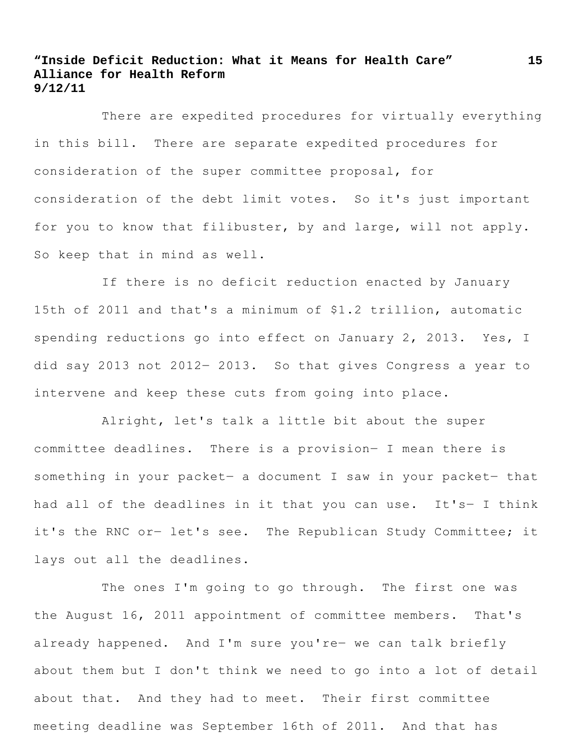There are expedited procedures for virtually everything in this bill. There are separate expedited procedures for consideration of the super committee proposal, for consideration of the debt limit votes. So it's just important for you to know that filibuster, by and large, will not apply. So keep that in mind as well.

If there is no deficit reduction enacted by January 15th of 2011 and that's a minimum of \$1.2 trillion, automatic spending reductions go into effect on January 2, 2013. Yes, I did say 2013 not 2012― 2013. So that gives Congress a year to intervene and keep these cuts from going into place.

Alright, let's talk a little bit about the super committee deadlines. There is a provision― I mean there is something in your packet- a document I saw in your packet- that had all of the deadlines in it that you can use. It's- I think it's the RNC or- let's see. The Republican Study Committee; it lays out all the deadlines.

The ones I'm going to go through. The first one was the August 16, 2011 appointment of committee members. That's already happened. And I'm sure you're― we can talk briefly about them but I don't think we need to go into a lot of detail about that. And they had to meet. Their first committee meeting deadline was September 16th of 2011. And that has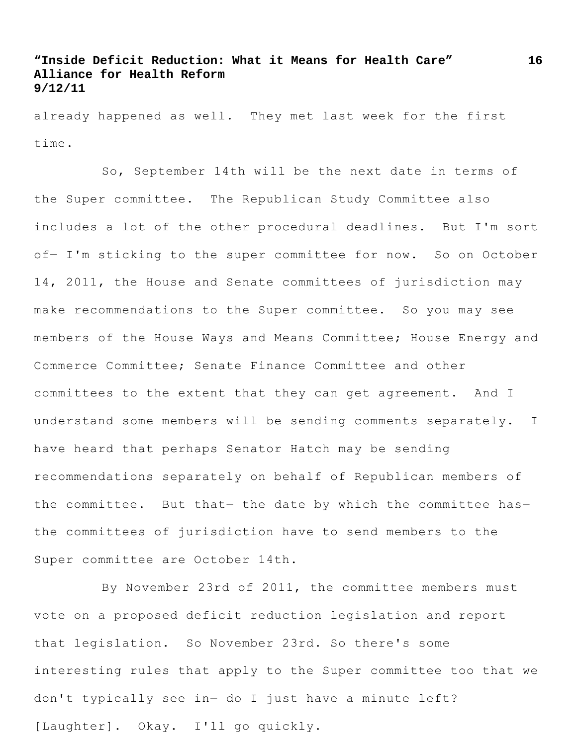already happened as well. They met last week for the first time.

So, September 14th will be the next date in terms of the Super committee. The Republican Study Committee also includes a lot of the other procedural deadlines. But I'm sort of- I'm sticking to the super committee for now. So on October 14, 2011, the House and Senate committees of jurisdiction may make recommendations to the Super committee. So you may see members of the House Ways and Means Committee; House Energy and Commerce Committee; Senate Finance Committee and other committees to the extent that they can get agreement. And I understand some members will be sending comments separately. I have heard that perhaps Senator Hatch may be sending recommendations separately on behalf of Republican members of the committee. But that- the date by which the committee hasthe committees of jurisdiction have to send members to the Super committee are October 14th.

By November 23rd of 2011, the committee members must vote on a proposed deficit reduction legislation and report that legislation. So November 23rd. So there's some interesting rules that apply to the Super committee too that we don't typically see in― do I just have a minute left? [Laughter]. Okay. I'll go quickly.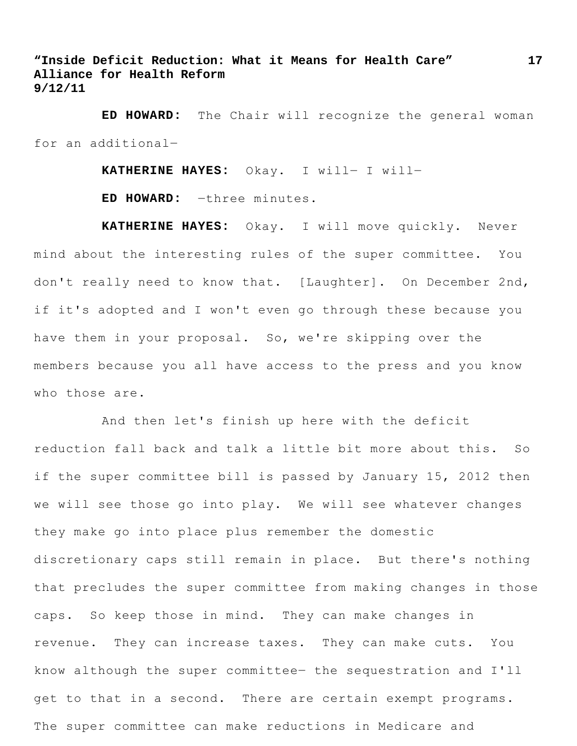**ED HOWARD:** The Chair will recognize the general woman for an additional―

**KATHERINE HAYES:** Okay. I will― I will―

**ED HOWARD:** ―three minutes.

**KATHERINE HAYES:** Okay. I will move quickly. Never mind about the interesting rules of the super committee. You don't really need to know that. [Laughter]. On December 2nd, if it's adopted and I won't even go through these because you have them in your proposal. So, we're skipping over the members because you all have access to the press and you know who those are.

And then let's finish up here with the deficit reduction fall back and talk a little bit more about this. So if the super committee bill is passed by January 15, 2012 then we will see those go into play. We will see whatever changes they make go into place plus remember the domestic discretionary caps still remain in place. But there's nothing that precludes the super committee from making changes in those caps. So keep those in mind. They can make changes in revenue. They can increase taxes. They can make cuts. You know although the super committee― the sequestration and I'll get to that in a second. There are certain exempt programs. The super committee can make reductions in Medicare and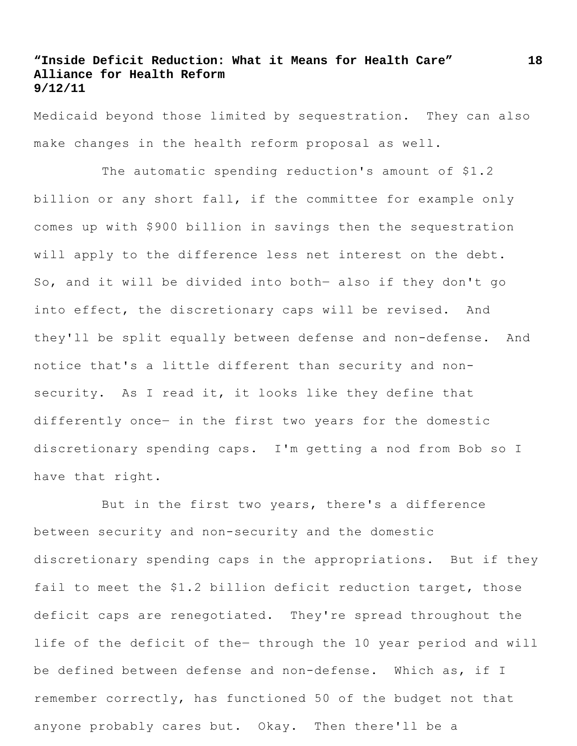Medicaid beyond those limited by sequestration. They can also make changes in the health reform proposal as well.

The automatic spending reduction's amount of \$1.2 billion or any short fall, if the committee for example only comes up with \$900 billion in savings then the sequestration will apply to the difference less net interest on the debt. So, and it will be divided into both― also if they don't go into effect, the discretionary caps will be revised. And they'll be split equally between defense and non-defense. And notice that's a little different than security and nonsecurity. As I read it, it looks like they define that differently once- in the first two years for the domestic discretionary spending caps. I'm getting a nod from Bob so I have that right.

But in the first two years, there's a difference between security and non-security and the domestic discretionary spending caps in the appropriations. But if they fail to meet the \$1.2 billion deficit reduction target, those deficit caps are renegotiated. They're spread throughout the life of the deficit of the― through the 10 year period and will be defined between defense and non-defense. Which as, if I remember correctly, has functioned 50 of the budget not that anyone probably cares but. Okay. Then there'll be a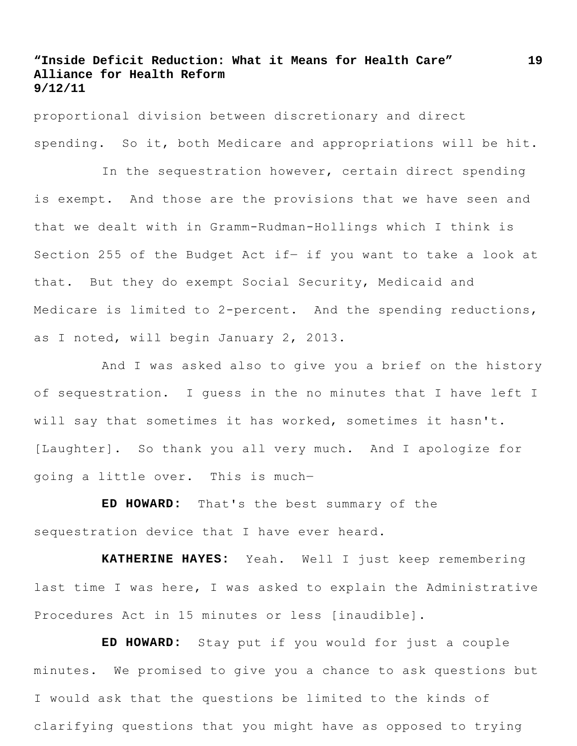proportional division between discretionary and direct spending. So it, both Medicare and appropriations will be hit.

In the sequestration however, certain direct spending is exempt. And those are the provisions that we have seen and that we dealt with in Gramm-Rudman-Hollings which I think is Section 255 of the Budget Act if- if you want to take a look at that. But they do exempt Social Security, Medicaid and Medicare is limited to 2-percent. And the spending reductions, as I noted, will begin January 2, 2013.

And I was asked also to give you a brief on the history of sequestration. I guess in the no minutes that I have left I will say that sometimes it has worked, sometimes it hasn't. [Laughter]. So thank you all very much. And I apologize for going a little over. This is much―

**ED HOWARD:** That's the best summary of the sequestration device that I have ever heard.

**KATHERINE HAYES:** Yeah. Well I just keep remembering last time I was here, I was asked to explain the Administrative Procedures Act in 15 minutes or less [inaudible].

**ED HOWARD:** Stay put if you would for just a couple minutes. We promised to give you a chance to ask questions but I would ask that the questions be limited to the kinds of clarifying questions that you might have as opposed to trying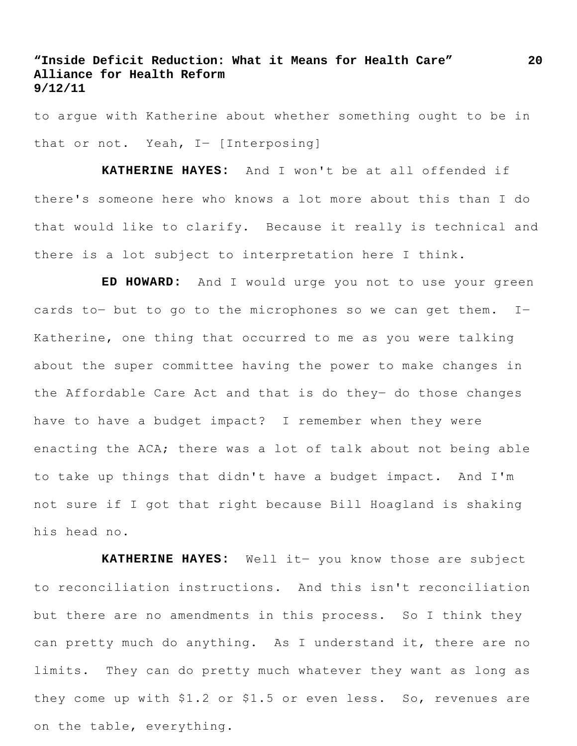to argue with Katherine about whether something ought to be in that or not. Yeah, I- [Interposing]

**KATHERINE HAYES:** And I won't be at all offended if there's someone here who knows a lot more about this than I do that would like to clarify. Because it really is technical and there is a lot subject to interpretation here I think.

**ED HOWARD:** And I would urge you not to use your green cards to- but to go to the microphones so we can get them. I-Katherine, one thing that occurred to me as you were talking about the super committee having the power to make changes in the Affordable Care Act and that is do they- do those changes have to have a budget impact? I remember when they were enacting the ACA; there was a lot of talk about not being able to take up things that didn't have a budget impact. And I'm not sure if I got that right because Bill Hoagland is shaking his head no.

**KATHERINE HAYES:** Well it― you know those are subject to reconciliation instructions. And this isn't reconciliation but there are no amendments in this process. So I think they can pretty much do anything. As I understand it, there are no limits. They can do pretty much whatever they want as long as they come up with \$1.2 or \$1.5 or even less. So, revenues are on the table, everything.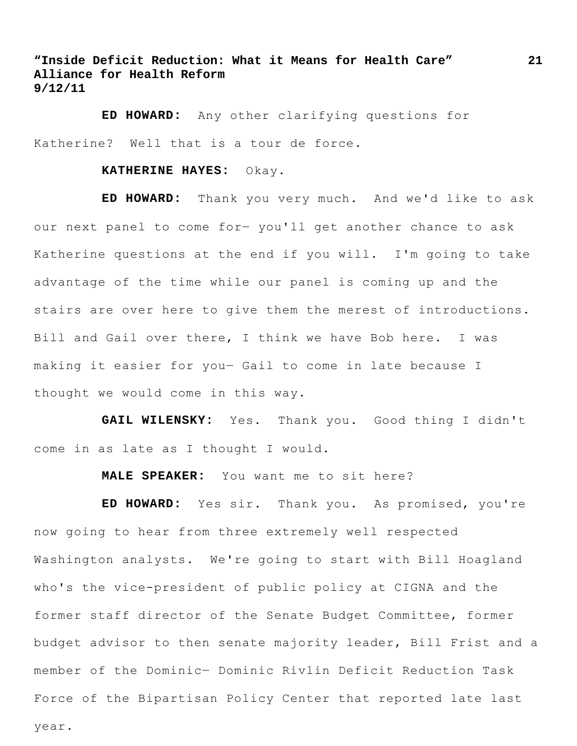**ED HOWARD:** Any other clarifying questions for Katherine? Well that is a tour de force.

#### **KATHERINE HAYES:** Okay.

**ED HOWARD:** Thank you very much. And we'd like to ask our next panel to come for― you'll get another chance to ask Katherine questions at the end if you will. I'm going to take advantage of the time while our panel is coming up and the stairs are over here to give them the merest of introductions. Bill and Gail over there, I think we have Bob here. I was making it easier for you― Gail to come in late because I thought we would come in this way.

**GAIL WILENSKY:** Yes. Thank you. Good thing I didn't come in as late as I thought I would.

**MALE SPEAKER:** You want me to sit here?

**ED HOWARD:** Yes sir. Thank you. As promised, you're now going to hear from three extremely well respected Washington analysts. We're going to start with Bill Hoagland who's the vice-president of public policy at CIGNA and the former staff director of the Senate Budget Committee, former budget advisor to then senate majority leader, Bill Frist and a member of the Dominic― Dominic Rivlin Deficit Reduction Task Force of the Bipartisan Policy Center that reported late last

year.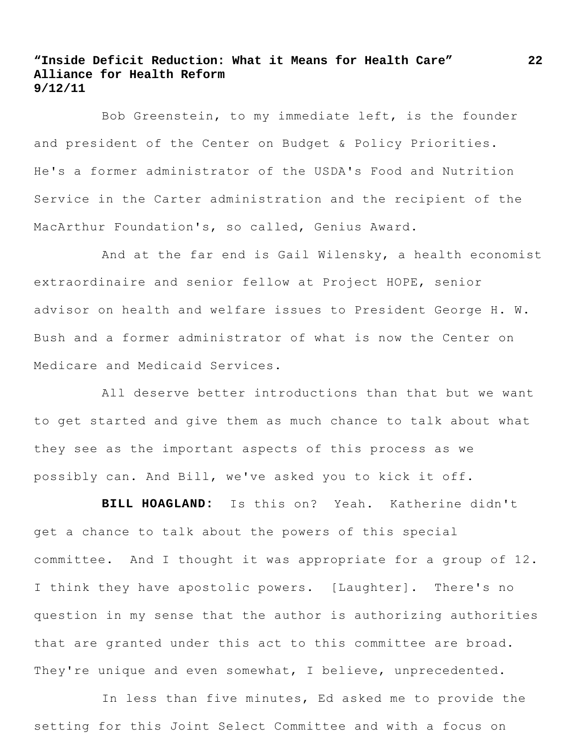Bob Greenstein, to my immediate left, is the founder and president of the Center on Budget & Policy Priorities. He's a former administrator of the USDA's Food and Nutrition Service in the Carter administration and the recipient of the MacArthur Foundation's, so called, Genius Award.

And at the far end is Gail Wilensky, a health economist extraordinaire and senior fellow at Project HOPE, senior advisor on health and welfare issues to President George H. W. Bush and a former administrator of what is now the Center on Medicare and Medicaid Services.

All deserve better introductions than that but we want to get started and give them as much chance to talk about what they see as the important aspects of this process as we possibly can. And Bill, we've asked you to kick it off.

**BILL HOAGLAND:** Is this on? Yeah. Katherine didn't get a chance to talk about the powers of this special committee. And I thought it was appropriate for a group of 12. I think they have apostolic powers. [Laughter]. There's no question in my sense that the author is authorizing authorities that are granted under this act to this committee are broad. They're unique and even somewhat, I believe, unprecedented.

In less than five minutes, Ed asked me to provide the setting for this Joint Select Committee and with a focus on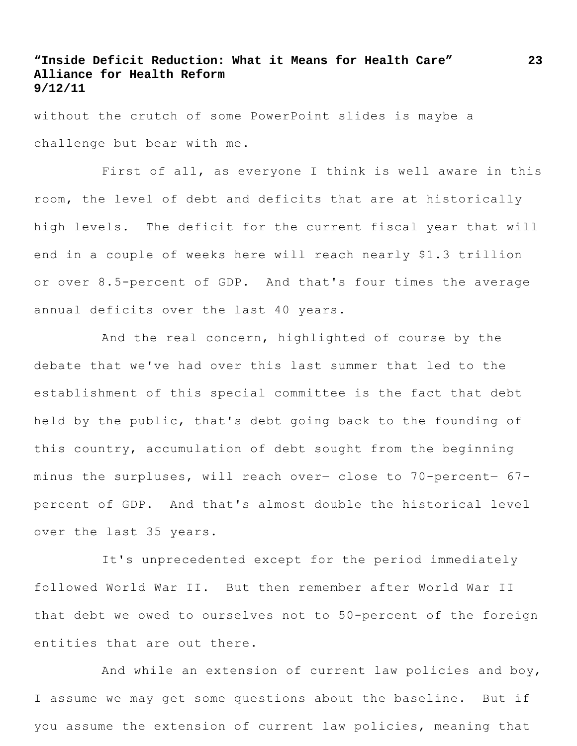without the crutch of some PowerPoint slides is maybe a challenge but bear with me.

First of all, as everyone I think is well aware in this room, the level of debt and deficits that are at historically high levels. The deficit for the current fiscal year that will end in a couple of weeks here will reach nearly \$1.3 trillion or over 8.5-percent of GDP. And that's four times the average annual deficits over the last 40 years.

And the real concern, highlighted of course by the debate that we've had over this last summer that led to the establishment of this special committee is the fact that debt held by the public, that's debt going back to the founding of this country, accumulation of debt sought from the beginning minus the surpluses, will reach over― close to 70-percent― 67 percent of GDP. And that's almost double the historical level over the last 35 years.

It's unprecedented except for the period immediately followed World War II. But then remember after World War II that debt we owed to ourselves not to 50-percent of the foreign entities that are out there.

And while an extension of current law policies and boy, I assume we may get some questions about the baseline. But if you assume the extension of current law policies, meaning that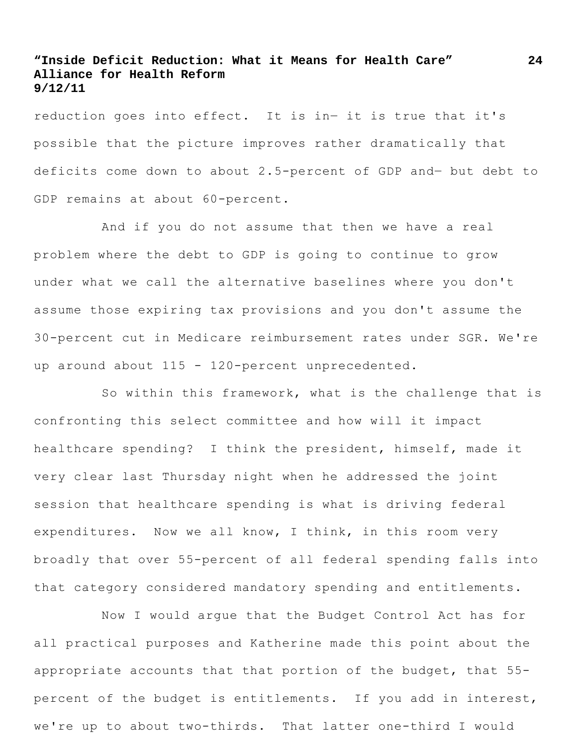reduction goes into effect. It is in― it is true that it's possible that the picture improves rather dramatically that deficits come down to about 2.5-percent of GDP and― but debt to GDP remains at about 60-percent.

And if you do not assume that then we have a real problem where the debt to GDP is going to continue to grow under what we call the alternative baselines where you don't assume those expiring tax provisions and you don't assume the 30-percent cut in Medicare reimbursement rates under SGR. We're up around about 115 - 120-percent unprecedented.

So within this framework, what is the challenge that is confronting this select committee and how will it impact healthcare spending? I think the president, himself, made it very clear last Thursday night when he addressed the joint session that healthcare spending is what is driving federal expenditures. Now we all know, I think, in this room very broadly that over 55-percent of all federal spending falls into that category considered mandatory spending and entitlements.

Now I would argue that the Budget Control Act has for all practical purposes and Katherine made this point about the appropriate accounts that that portion of the budget, that 55 percent of the budget is entitlements. If you add in interest, we're up to about two-thirds. That latter one-third I would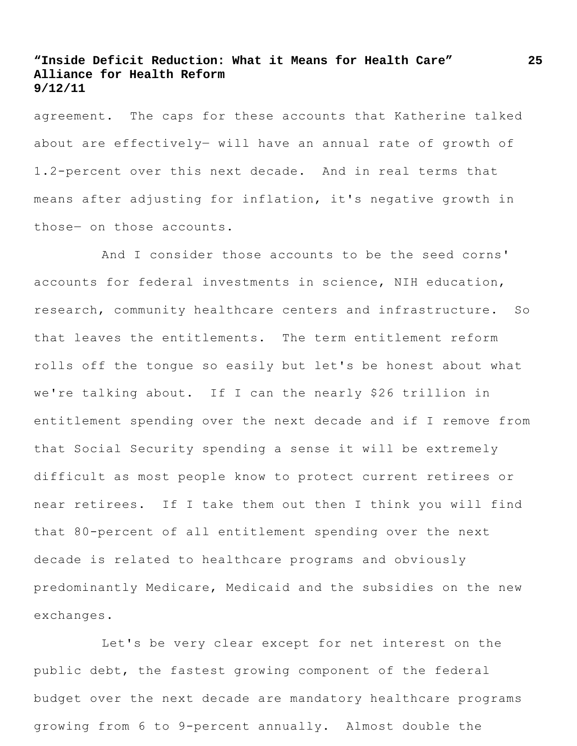agreement. The caps for these accounts that Katherine talked about are effectively― will have an annual rate of growth of 1.2-percent over this next decade. And in real terms that means after adjusting for inflation, it's negative growth in those― on those accounts.

And I consider those accounts to be the seed corns' accounts for federal investments in science, NIH education, research, community healthcare centers and infrastructure. So that leaves the entitlements. The term entitlement reform rolls off the tongue so easily but let's be honest about what we're talking about. If I can the nearly \$26 trillion in entitlement spending over the next decade and if I remove from that Social Security spending a sense it will be extremely difficult as most people know to protect current retirees or near retirees. If I take them out then I think you will find that 80-percent of all entitlement spending over the next decade is related to healthcare programs and obviously predominantly Medicare, Medicaid and the subsidies on the new exchanges.

Let's be very clear except for net interest on the public debt, the fastest growing component of the federal budget over the next decade are mandatory healthcare programs growing from 6 to 9-percent annually. Almost double the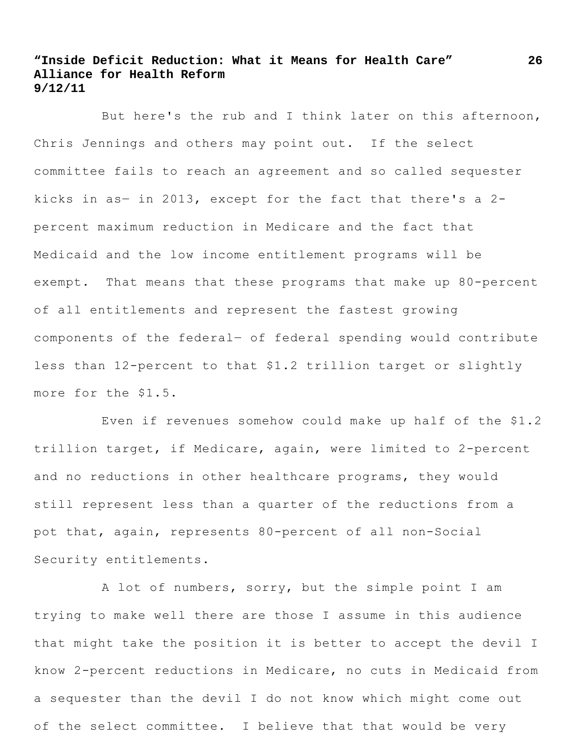But here's the rub and I think later on this afternoon, Chris Jennings and others may point out. If the select committee fails to reach an agreement and so called sequester kicks in as― in 2013, except for the fact that there's a 2 percent maximum reduction in Medicare and the fact that Medicaid and the low income entitlement programs will be exempt. That means that these programs that make up 80-percent of all entitlements and represent the fastest growing components of the federal― of federal spending would contribute less than 12-percent to that \$1.2 trillion target or slightly more for the \$1.5.

Even if revenues somehow could make up half of the \$1.2 trillion target, if Medicare, again, were limited to 2-percent and no reductions in other healthcare programs, they would still represent less than a quarter of the reductions from a pot that, again, represents 80-percent of all non-Social Security entitlements.

A lot of numbers, sorry, but the simple point I am trying to make well there are those I assume in this audience that might take the position it is better to accept the devil I know 2-percent reductions in Medicare, no cuts in Medicaid from a sequester than the devil I do not know which might come out of the select committee. I believe that that would be very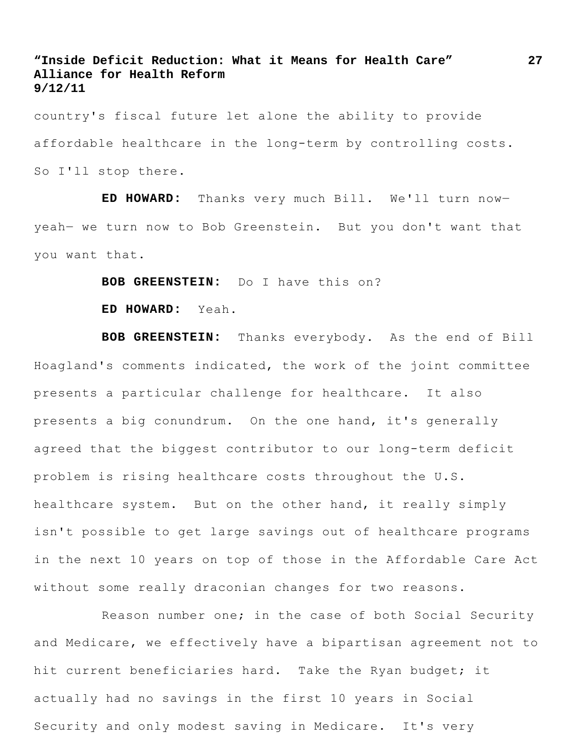country's fiscal future let alone the ability to provide affordable healthcare in the long-term by controlling costs. So I'll stop there.

**ED HOWARD:** Thanks very much Bill. We'll turn now― yeah― we turn now to Bob Greenstein. But you don't want that you want that.

**BOB GREENSTEIN:** Do I have this on?

**ED HOWARD:** Yeah.

**BOB GREENSTEIN:** Thanks everybody. As the end of Bill Hoagland's comments indicated, the work of the joint committee presents a particular challenge for healthcare. It also presents a big conundrum. On the one hand, it's generally agreed that the biggest contributor to our long-term deficit problem is rising healthcare costs throughout the U.S. healthcare system. But on the other hand, it really simply isn't possible to get large savings out of healthcare programs in the next 10 years on top of those in the Affordable Care Act without some really draconian changes for two reasons.

Reason number one; in the case of both Social Security and Medicare, we effectively have a bipartisan agreement not to hit current beneficiaries hard. Take the Ryan budget; it actually had no savings in the first 10 years in Social Security and only modest saving in Medicare. It's very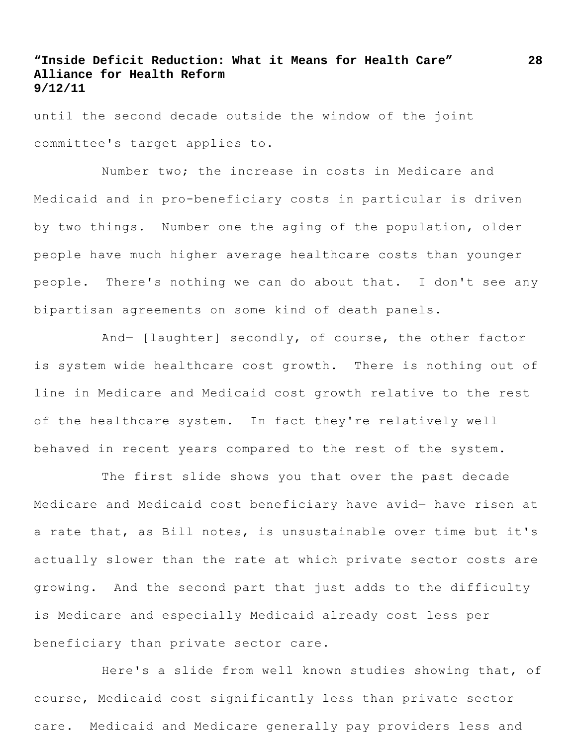until the second decade outside the window of the joint committee's target applies to.

Number two; the increase in costs in Medicare and Medicaid and in pro-beneficiary costs in particular is driven by two things. Number one the aging of the population, older people have much higher average healthcare costs than younger people. There's nothing we can do about that. I don't see any bipartisan agreements on some kind of death panels.

And― [laughter] secondly, of course, the other factor is system wide healthcare cost growth. There is nothing out of line in Medicare and Medicaid cost growth relative to the rest of the healthcare system. In fact they're relatively well behaved in recent years compared to the rest of the system.

The first slide shows you that over the past decade Medicare and Medicaid cost beneficiary have avid― have risen at a rate that, as Bill notes, is unsustainable over time but it's actually slower than the rate at which private sector costs are growing. And the second part that just adds to the difficulty is Medicare and especially Medicaid already cost less per beneficiary than private sector care.

Here's a slide from well known studies showing that, of course, Medicaid cost significantly less than private sector care. Medicaid and Medicare generally pay providers less and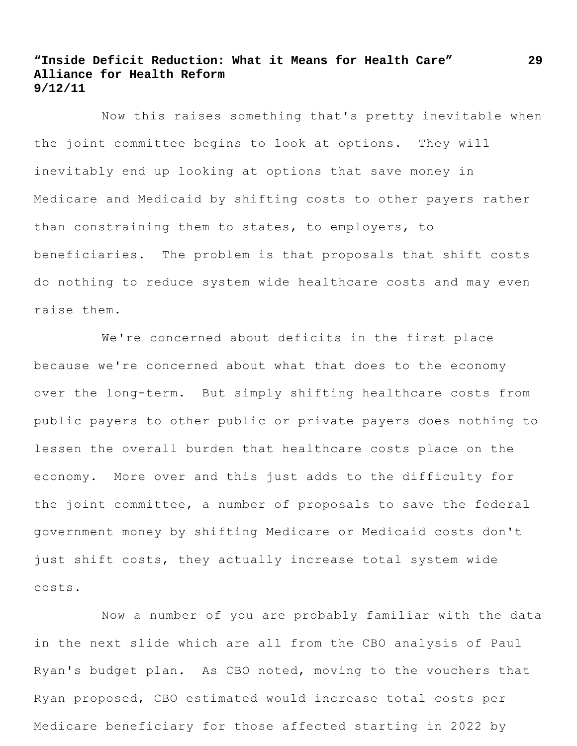Now this raises something that's pretty inevitable when the joint committee begins to look at options. They will inevitably end up looking at options that save money in Medicare and Medicaid by shifting costs to other payers rather than constraining them to states, to employers, to beneficiaries. The problem is that proposals that shift costs do nothing to reduce system wide healthcare costs and may even raise them.

We're concerned about deficits in the first place because we're concerned about what that does to the economy over the long-term. But simply shifting healthcare costs from public payers to other public or private payers does nothing to lessen the overall burden that healthcare costs place on the economy. More over and this just adds to the difficulty for the joint committee, a number of proposals to save the federal government money by shifting Medicare or Medicaid costs don't just shift costs, they actually increase total system wide costs.

Now a number of you are probably familiar with the data in the next slide which are all from the CBO analysis of Paul Ryan's budget plan. As CBO noted, moving to the vouchers that Ryan proposed, CBO estimated would increase total costs per Medicare beneficiary for those affected starting in 2022 by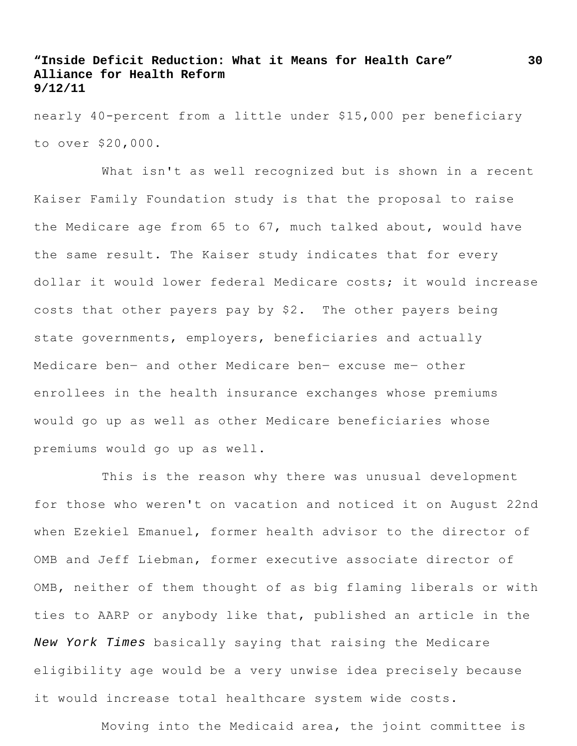nearly 40-percent from a little under \$15,000 per beneficiary to over \$20,000.

What isn't as well recognized but is shown in a recent Kaiser Family Foundation study is that the proposal to raise the Medicare age from 65 to 67, much talked about, would have the same result. The Kaiser study indicates that for every dollar it would lower federal Medicare costs; it would increase costs that other payers pay by \$2. The other payers being state governments, employers, beneficiaries and actually Medicare ben― and other Medicare ben― excuse me― other enrollees in the health insurance exchanges whose premiums would go up as well as other Medicare beneficiaries whose premiums would go up as well.

This is the reason why there was unusual development for those who weren't on vacation and noticed it on August 22nd when Ezekiel Emanuel, former health advisor to the director of OMB and Jeff Liebman, former executive associate director of OMB, neither of them thought of as big flaming liberals or with ties to AARP or anybody like that, published an article in the *New York Times* basically saying that raising the Medicare eligibility age would be a very unwise idea precisely because it would increase total healthcare system wide costs.

Moving into the Medicaid area, the joint committee is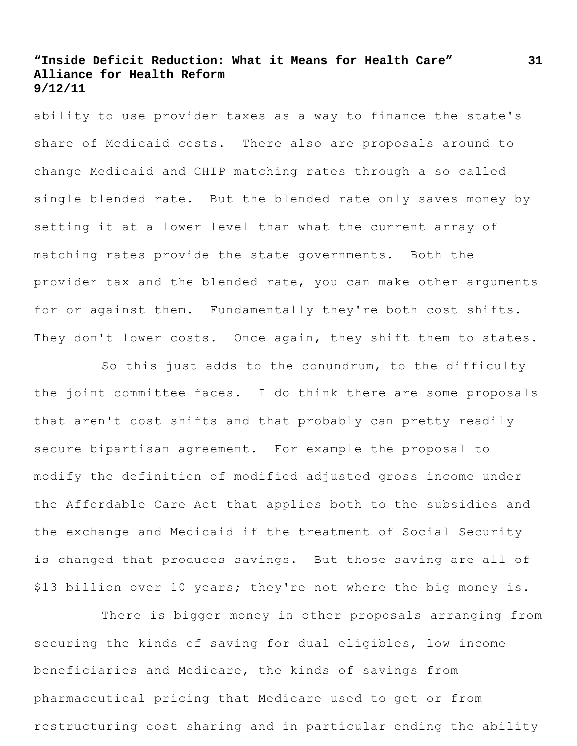ability to use provider taxes as a way to finance the state's share of Medicaid costs. There also are proposals around to change Medicaid and CHIP matching rates through a so called single blended rate. But the blended rate only saves money by setting it at a lower level than what the current array of matching rates provide the state governments. Both the provider tax and the blended rate, you can make other arguments for or against them. Fundamentally they're both cost shifts. They don't lower costs. Once again, they shift them to states.

So this just adds to the conundrum, to the difficulty the joint committee faces. I do think there are some proposals that aren't cost shifts and that probably can pretty readily secure bipartisan agreement. For example the proposal to modify the definition of modified adjusted gross income under the Affordable Care Act that applies both to the subsidies and the exchange and Medicaid if the treatment of Social Security is changed that produces savings. But those saving are all of \$13 billion over 10 years; they're not where the big money is.

There is bigger money in other proposals arranging from securing the kinds of saving for dual eligibles, low income beneficiaries and Medicare, the kinds of savings from pharmaceutical pricing that Medicare used to get or from restructuring cost sharing and in particular ending the ability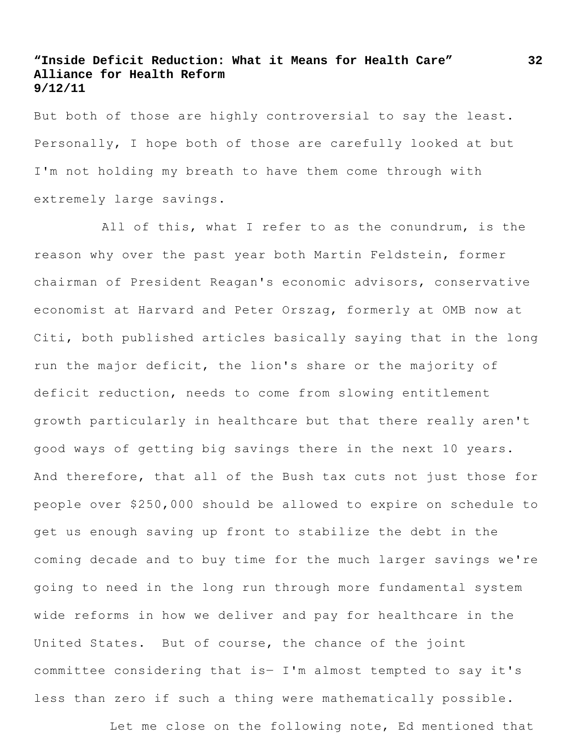But both of those are highly controversial to say the least. Personally, I hope both of those are carefully looked at but I'm not holding my breath to have them come through with extremely large savings.

All of this, what I refer to as the conundrum, is the reason why over the past year both Martin Feldstein, former chairman of President Reagan's economic advisors, conservative economist at Harvard and Peter Orszag, formerly at OMB now at Citi, both published articles basically saying that in the long run the major deficit, the lion's share or the majority of deficit reduction, needs to come from slowing entitlement growth particularly in healthcare but that there really aren't good ways of getting big savings there in the next 10 years. And therefore, that all of the Bush tax cuts not just those for people over \$250,000 should be allowed to expire on schedule to get us enough saving up front to stabilize the debt in the coming decade and to buy time for the much larger savings we're going to need in the long run through more fundamental system wide reforms in how we deliver and pay for healthcare in the United States. But of course, the chance of the joint committee considering that is― I'm almost tempted to say it's less than zero if such a thing were mathematically possible.

Let me close on the following note, Ed mentioned that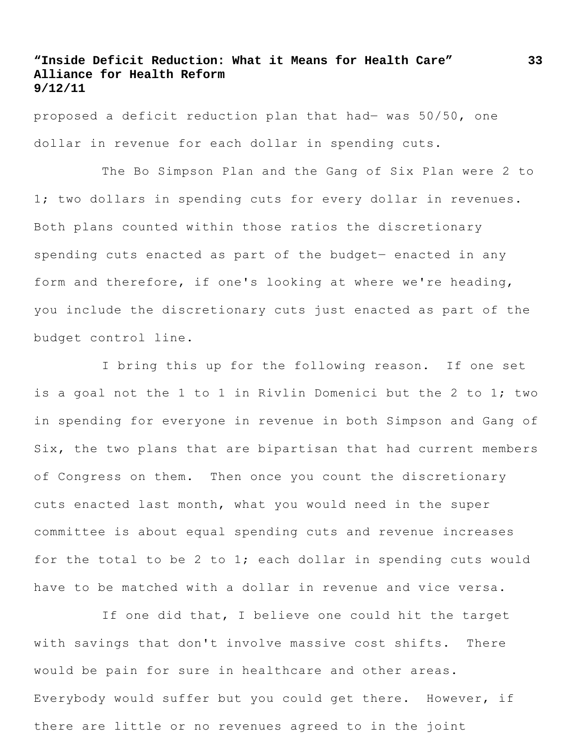proposed a deficit reduction plan that had― was 50/50, one dollar in revenue for each dollar in spending cuts.

The Bo Simpson Plan and the Gang of Six Plan were 2 to 1; two dollars in spending cuts for every dollar in revenues. Both plans counted within those ratios the discretionary spending cuts enacted as part of the budget- enacted in any form and therefore, if one's looking at where we're heading, you include the discretionary cuts just enacted as part of the budget control line.

I bring this up for the following reason. If one set is a goal not the 1 to 1 in Rivlin Domenici but the 2 to 1; two in spending for everyone in revenue in both Simpson and Gang of Six, the two plans that are bipartisan that had current members of Congress on them. Then once you count the discretionary cuts enacted last month, what you would need in the super committee is about equal spending cuts and revenue increases for the total to be 2 to 1; each dollar in spending cuts would have to be matched with a dollar in revenue and vice versa.

If one did that, I believe one could hit the target with savings that don't involve massive cost shifts. There would be pain for sure in healthcare and other areas. Everybody would suffer but you could get there. However, if there are little or no revenues agreed to in the joint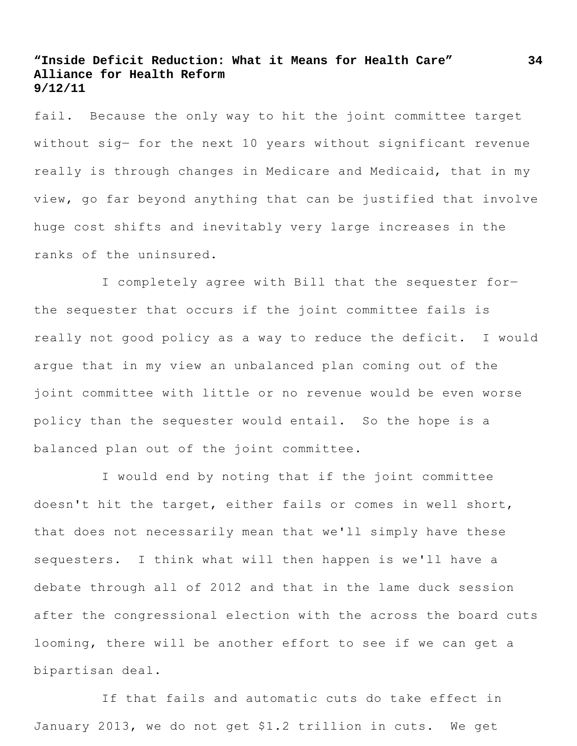fail. Because the only way to hit the joint committee target without sig- for the next 10 years without significant revenue really is through changes in Medicare and Medicaid, that in my view, go far beyond anything that can be justified that involve huge cost shifts and inevitably very large increases in the ranks of the uninsured.

I completely agree with Bill that the sequester for― the sequester that occurs if the joint committee fails is really not good policy as a way to reduce the deficit. I would argue that in my view an unbalanced plan coming out of the joint committee with little or no revenue would be even worse policy than the sequester would entail. So the hope is a balanced plan out of the joint committee.

I would end by noting that if the joint committee doesn't hit the target, either fails or comes in well short, that does not necessarily mean that we'll simply have these sequesters. I think what will then happen is we'll have a debate through all of 2012 and that in the lame duck session after the congressional election with the across the board cuts looming, there will be another effort to see if we can get a bipartisan deal.

If that fails and automatic cuts do take effect in January 2013, we do not get \$1.2 trillion in cuts. We get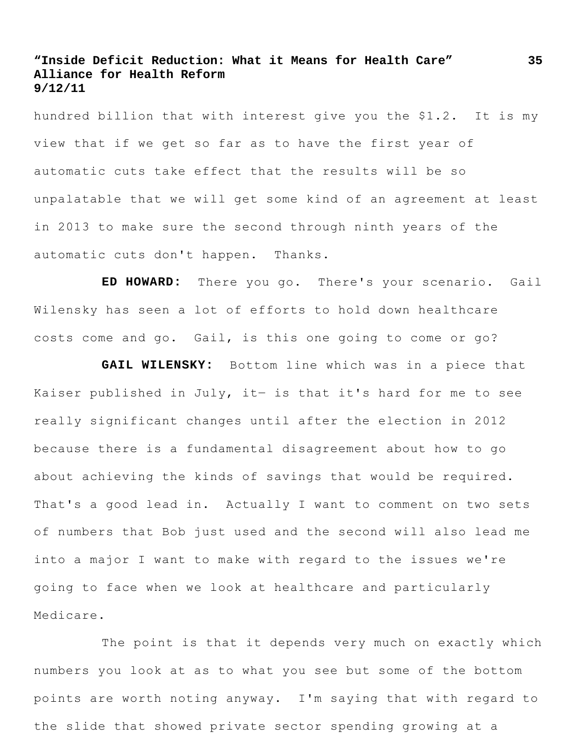hundred billion that with interest give you the \$1.2. It is my view that if we get so far as to have the first year of automatic cuts take effect that the results will be so unpalatable that we will get some kind of an agreement at least in 2013 to make sure the second through ninth years of the automatic cuts don't happen. Thanks.

**ED HOWARD:** There you go. There's your scenario. Gail Wilensky has seen a lot of efforts to hold down healthcare costs come and go. Gail, is this one going to come or go?

**GAIL WILENSKY:** Bottom line which was in a piece that Kaiser published in July, it- is that it's hard for me to see really significant changes until after the election in 2012 because there is a fundamental disagreement about how to go about achieving the kinds of savings that would be required. That's a good lead in. Actually I want to comment on two sets of numbers that Bob just used and the second will also lead me into a major I want to make with regard to the issues we're going to face when we look at healthcare and particularly Medicare.

The point is that it depends very much on exactly which numbers you look at as to what you see but some of the bottom points are worth noting anyway. I'm saying that with regard to the slide that showed private sector spending growing at a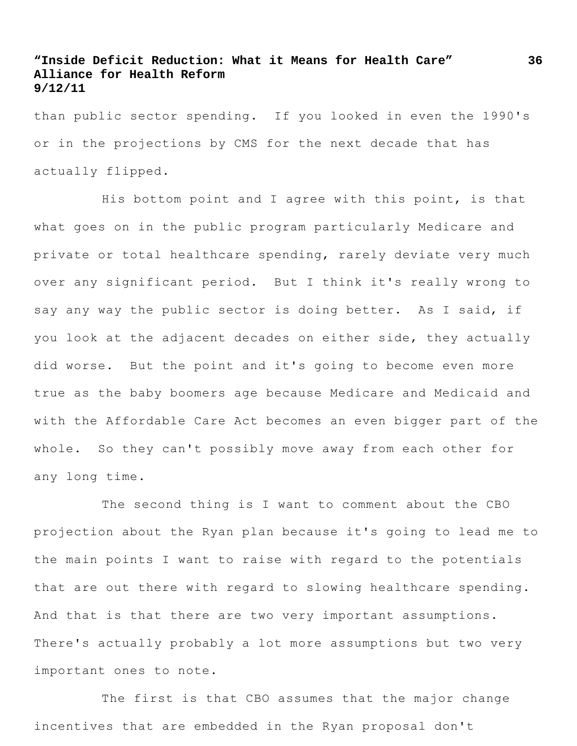than public sector spending. If you looked in even the 1990's or in the projections by CMS for the next decade that has actually flipped.

His bottom point and I agree with this point, is that what goes on in the public program particularly Medicare and private or total healthcare spending, rarely deviate very much over any significant period. But I think it's really wrong to say any way the public sector is doing better. As I said, if you look at the adjacent decades on either side, they actually did worse. But the point and it's going to become even more true as the baby boomers age because Medicare and Medicaid and with the Affordable Care Act becomes an even bigger part of the whole. So they can't possibly move away from each other for any long time.

The second thing is I want to comment about the CBO projection about the Ryan plan because it's going to lead me to the main points I want to raise with regard to the potentials that are out there with regard to slowing healthcare spending. And that is that there are two very important assumptions. There's actually probably a lot more assumptions but two very important ones to note.

The first is that CBO assumes that the major change incentives that are embedded in the Ryan proposal don't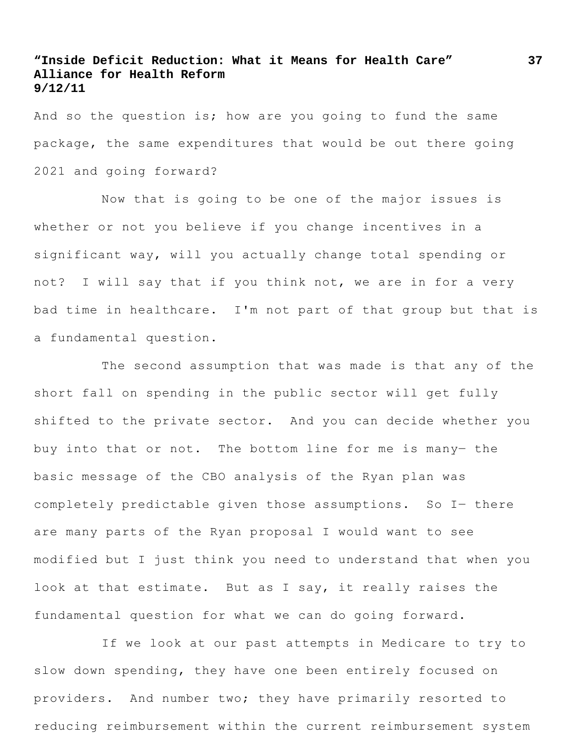And so the question is; how are you going to fund the same package, the same expenditures that would be out there going 2021 and going forward?

Now that is going to be one of the major issues is whether or not you believe if you change incentives in a significant way, will you actually change total spending or not? I will say that if you think not, we are in for a very bad time in healthcare. I'm not part of that group but that is a fundamental question.

The second assumption that was made is that any of the short fall on spending in the public sector will get fully shifted to the private sector. And you can decide whether you buy into that or not. The bottom line for me is many― the basic message of the CBO analysis of the Ryan plan was completely predictable given those assumptions. So I- there are many parts of the Ryan proposal I would want to see modified but I just think you need to understand that when you look at that estimate. But as I say, it really raises the fundamental question for what we can do going forward.

If we look at our past attempts in Medicare to try to slow down spending, they have one been entirely focused on providers. And number two; they have primarily resorted to reducing reimbursement within the current reimbursement system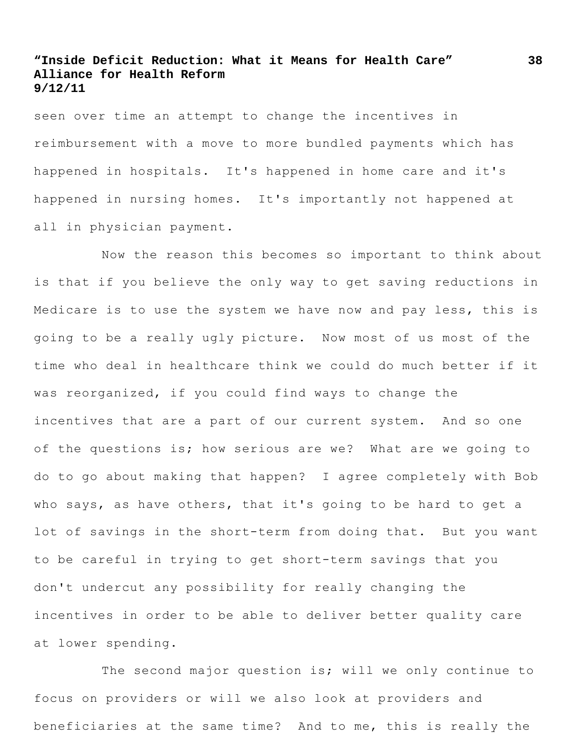seen over time an attempt to change the incentives in reimbursement with a move to more bundled payments which has happened in hospitals. It's happened in home care and it's happened in nursing homes. It's importantly not happened at all in physician payment.

Now the reason this becomes so important to think about is that if you believe the only way to get saving reductions in Medicare is to use the system we have now and pay less, this is going to be a really ugly picture. Now most of us most of the time who deal in healthcare think we could do much better if it was reorganized, if you could find ways to change the incentives that are a part of our current system. And so one of the questions is; how serious are we? What are we going to do to go about making that happen? I agree completely with Bob who says, as have others, that it's going to be hard to get a lot of savings in the short-term from doing that. But you want to be careful in trying to get short-term savings that you don't undercut any possibility for really changing the incentives in order to be able to deliver better quality care at lower spending.

The second major question is; will we only continue to focus on providers or will we also look at providers and beneficiaries at the same time? And to me, this is really the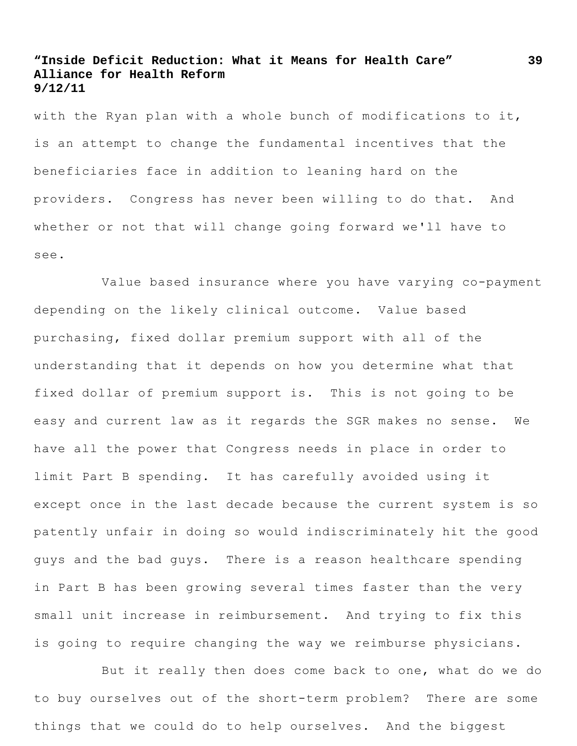with the Ryan plan with a whole bunch of modifications to it, is an attempt to change the fundamental incentives that the beneficiaries face in addition to leaning hard on the providers. Congress has never been willing to do that. And whether or not that will change going forward we'll have to see.

Value based insurance where you have varying co-payment depending on the likely clinical outcome. Value based purchasing, fixed dollar premium support with all of the understanding that it depends on how you determine what that fixed dollar of premium support is. This is not going to be easy and current law as it regards the SGR makes no sense. We have all the power that Congress needs in place in order to limit Part B spending. It has carefully avoided using it except once in the last decade because the current system is so patently unfair in doing so would indiscriminately hit the good guys and the bad guys. There is a reason healthcare spending in Part B has been growing several times faster than the very small unit increase in reimbursement. And trying to fix this is going to require changing the way we reimburse physicians.

But it really then does come back to one, what do we do to buy ourselves out of the short-term problem? There are some things that we could do to help ourselves. And the biggest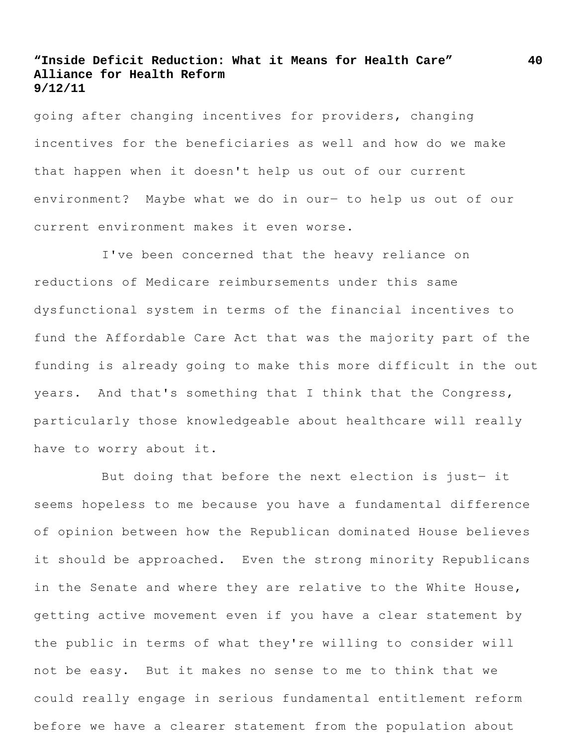going after changing incentives for providers, changing incentives for the beneficiaries as well and how do we make that happen when it doesn't help us out of our current environment? Maybe what we do in our― to help us out of our current environment makes it even worse.

I've been concerned that the heavy reliance on reductions of Medicare reimbursements under this same dysfunctional system in terms of the financial incentives to fund the Affordable Care Act that was the majority part of the funding is already going to make this more difficult in the out years. And that's something that I think that the Congress, particularly those knowledgeable about healthcare will really have to worry about it.

But doing that before the next election is just- it seems hopeless to me because you have a fundamental difference of opinion between how the Republican dominated House believes it should be approached. Even the strong minority Republicans in the Senate and where they are relative to the White House, getting active movement even if you have a clear statement by the public in terms of what they're willing to consider will not be easy. But it makes no sense to me to think that we could really engage in serious fundamental entitlement reform before we have a clearer statement from the population about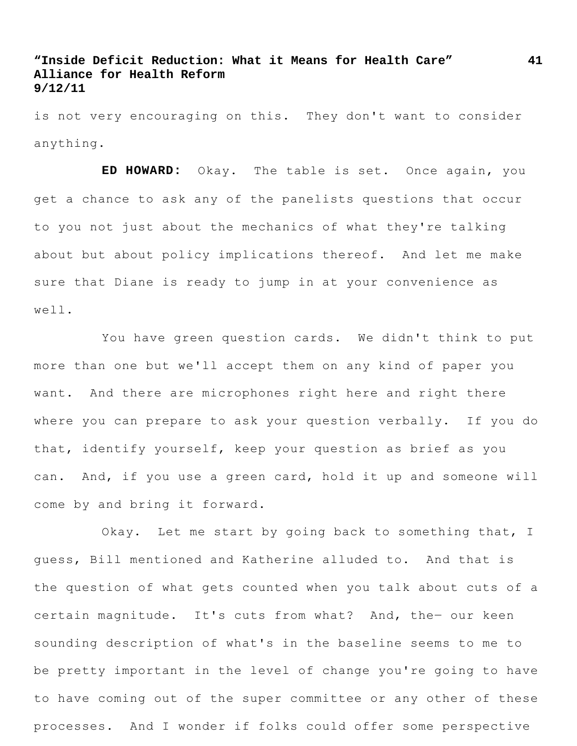is not very encouraging on this. They don't want to consider anything.

**ED HOWARD:** Okay. The table is set. Once again, you get a chance to ask any of the panelists questions that occur to you not just about the mechanics of what they're talking about but about policy implications thereof. And let me make sure that Diane is ready to jump in at your convenience as well.

You have green question cards. We didn't think to put more than one but we'll accept them on any kind of paper you want. And there are microphones right here and right there where you can prepare to ask your question verbally. If you do that, identify yourself, keep your question as brief as you can. And, if you use a green card, hold it up and someone will come by and bring it forward.

Okay. Let me start by going back to something that, I guess, Bill mentioned and Katherine alluded to. And that is the question of what gets counted when you talk about cuts of a certain magnitude. It's cuts from what? And, the- our keen sounding description of what's in the baseline seems to me to be pretty important in the level of change you're going to have to have coming out of the super committee or any other of these processes. And I wonder if folks could offer some perspective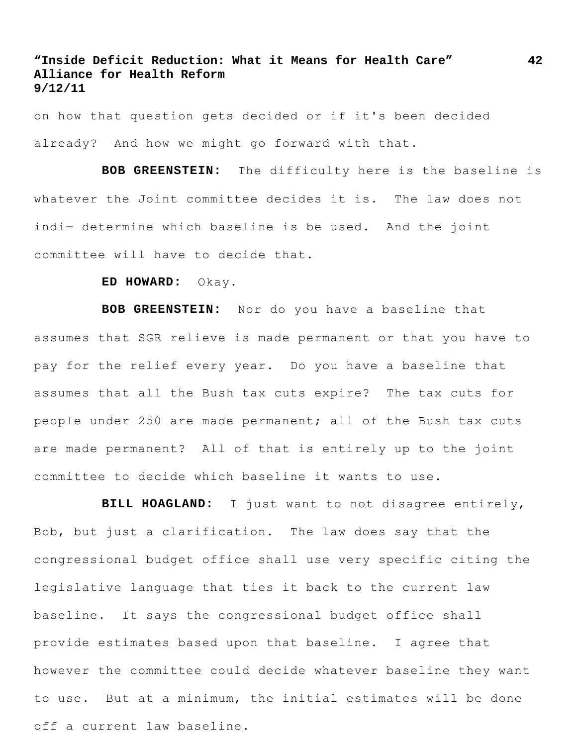on how that question gets decided or if it's been decided already? And how we might go forward with that.

**BOB GREENSTEIN:** The difficulty here is the baseline is whatever the Joint committee decides it is. The law does not indi- determine which baseline is be used. And the joint committee will have to decide that.

### **ED HOWARD:** Okay.

**BOB GREENSTEIN:** Nor do you have a baseline that assumes that SGR relieve is made permanent or that you have to pay for the relief every year. Do you have a baseline that assumes that all the Bush tax cuts expire? The tax cuts for people under 250 are made permanent; all of the Bush tax cuts are made permanent? All of that is entirely up to the joint committee to decide which baseline it wants to use.

**BILL HOAGLAND:** I just want to not disagree entirely, Bob, but just a clarification. The law does say that the congressional budget office shall use very specific citing the legislative language that ties it back to the current law baseline. It says the congressional budget office shall provide estimates based upon that baseline. I agree that however the committee could decide whatever baseline they want to use. But at a minimum, the initial estimates will be done off a current law baseline.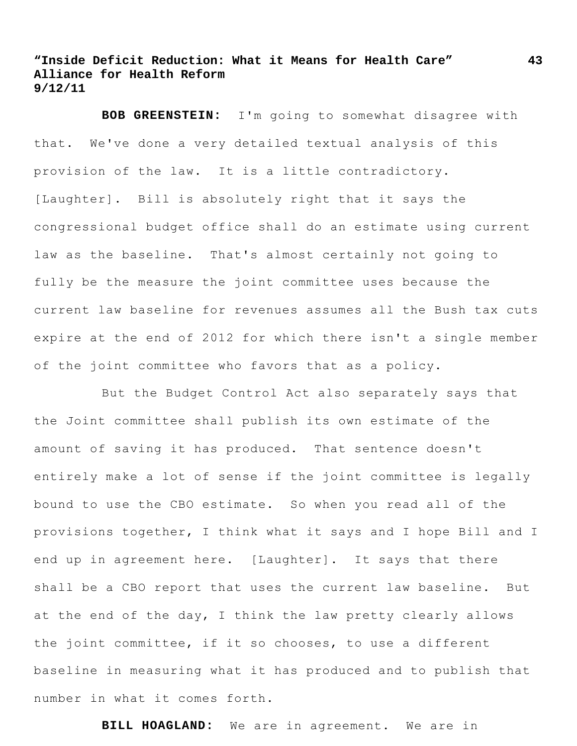**BOB GREENSTEIN:** I'm going to somewhat disagree with that. We've done a very detailed textual analysis of this provision of the law. It is a little contradictory. [Laughter]. Bill is absolutely right that it says the congressional budget office shall do an estimate using current law as the baseline. That's almost certainly not going to fully be the measure the joint committee uses because the current law baseline for revenues assumes all the Bush tax cuts expire at the end of 2012 for which there isn't a single member of the joint committee who favors that as a policy.

But the Budget Control Act also separately says that the Joint committee shall publish its own estimate of the amount of saving it has produced. That sentence doesn't entirely make a lot of sense if the joint committee is legally bound to use the CBO estimate. So when you read all of the provisions together, I think what it says and I hope Bill and I end up in agreement here. [Laughter]. It says that there shall be a CBO report that uses the current law baseline. But at the end of the day, I think the law pretty clearly allows the joint committee, if it so chooses, to use a different baseline in measuring what it has produced and to publish that number in what it comes forth.

**BILL HOAGLAND:** We are in agreement. We are in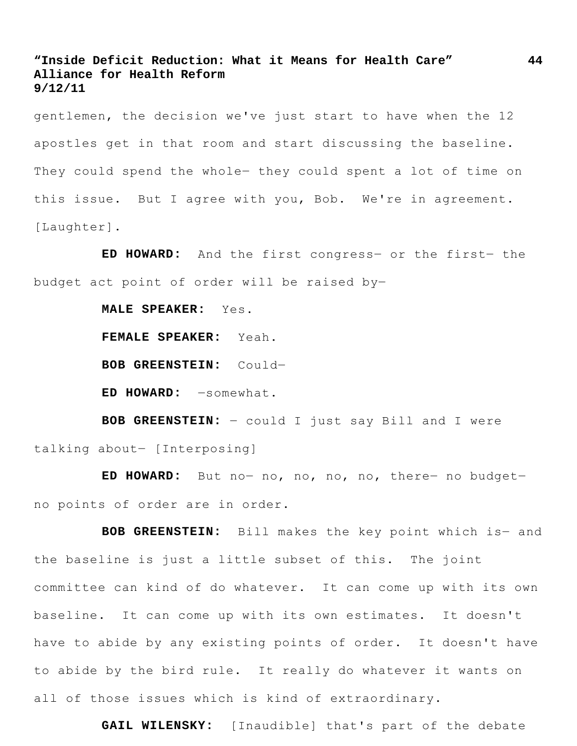gentlemen, the decision we've just start to have when the 12 apostles get in that room and start discussing the baseline. They could spend the whole- they could spent a lot of time on this issue. But I agree with you, Bob. We're in agreement. [Laughter].

**ED HOWARD:** And the first congress― or the first― the budget act point of order will be raised by―

**MALE SPEAKER:** Yes.

**FEMALE SPEAKER:** Yeah.

**BOB GREENSTEIN:** Could―

**ED HOWARD:** ―somewhat.

**BOB GREENSTEIN:** ― could I just say Bill and I were talking about― [Interposing]

**ED HOWARD:** But no― no, no, no, no, there― no budget― no points of order are in order.

**BOB GREENSTEIN:** Bill makes the key point which is― and the baseline is just a little subset of this. The joint committee can kind of do whatever. It can come up with its own baseline. It can come up with its own estimates. It doesn't have to abide by any existing points of order. It doesn't have to abide by the bird rule. It really do whatever it wants on all of those issues which is kind of extraordinary.

**GAIL WILENSKY:** [Inaudible] that's part of the debate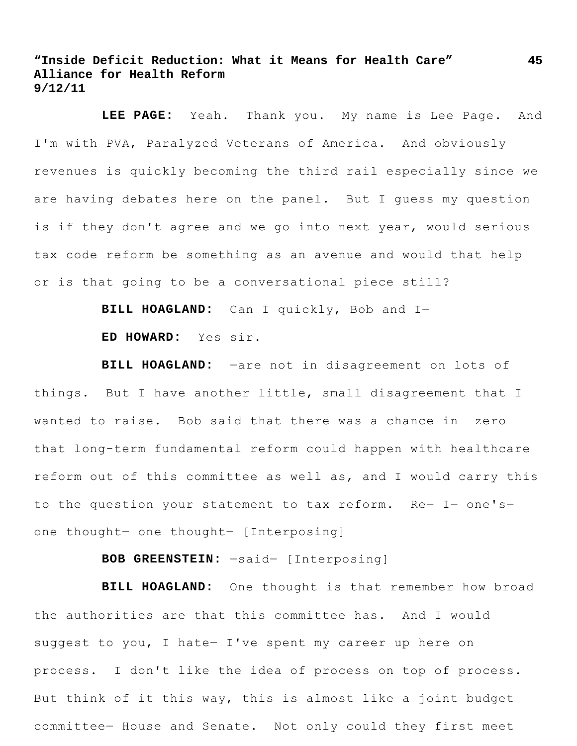**LEE PAGE:** Yeah. Thank you. My name is Lee Page. And I'm with PVA, Paralyzed Veterans of America. And obviously revenues is quickly becoming the third rail especially since we are having debates here on the panel. But I guess my question is if they don't agree and we go into next year, would serious tax code reform be something as an avenue and would that help or is that going to be a conversational piece still?

**BILL HOAGLAND:** Can I quickly, Bob and I―

**ED HOWARD:** Yes sir.

**BILL HOAGLAND:** ―are not in disagreement on lots of things. But I have another little, small disagreement that I wanted to raise. Bob said that there was a chance in zero that long-term fundamental reform could happen with healthcare reform out of this committee as well as, and I would carry this to the question your statement to tax reform. Re― I― one's― one thought― one thought― [Interposing]

**BOB GREENSTEIN:** ―said― [Interposing]

**BILL HOAGLAND:** One thought is that remember how broad the authorities are that this committee has. And I would suggest to you, I hate- I've spent my career up here on process. I don't like the idea of process on top of process. But think of it this way, this is almost like a joint budget committee― House and Senate. Not only could they first meet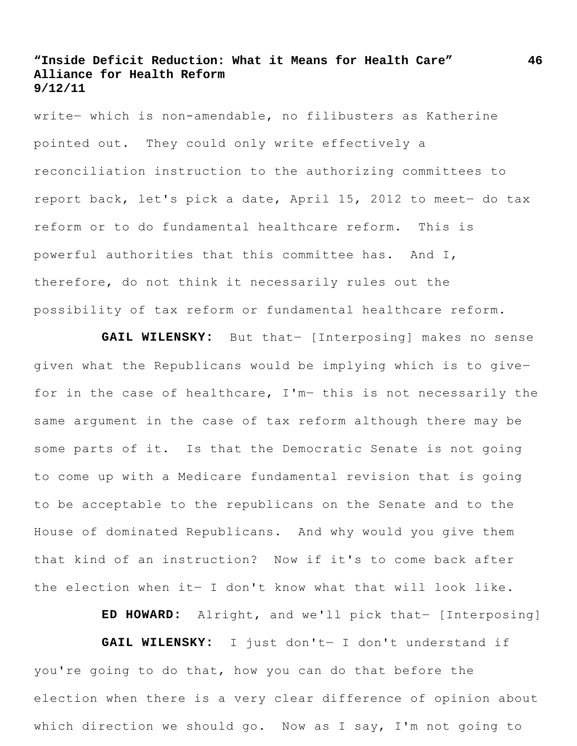write― which is non-amendable, no filibusters as Katherine pointed out. They could only write effectively a reconciliation instruction to the authorizing committees to report back, let's pick a date, April 15, 2012 to meet- do tax reform or to do fundamental healthcare reform. This is powerful authorities that this committee has. And I, therefore, do not think it necessarily rules out the possibility of tax reform or fundamental healthcare reform.

**GAIL WILENSKY:** But that― [Interposing] makes no sense given what the Republicans would be implying which is to give― for in the case of healthcare, I'm- this is not necessarily the same argument in the case of tax reform although there may be some parts of it. Is that the Democratic Senate is not going to come up with a Medicare fundamental revision that is going to be acceptable to the republicans on the Senate and to the House of dominated Republicans. And why would you give them that kind of an instruction? Now if it's to come back after the election when it― I don't know what that will look like.

**ED HOWARD:** Alright, and we'll pick that― [Interposing]

**GAIL WILENSKY:** I just don't― I don't understand if you're going to do that, how you can do that before the election when there is a very clear difference of opinion about which direction we should go. Now as I say, I'm not going to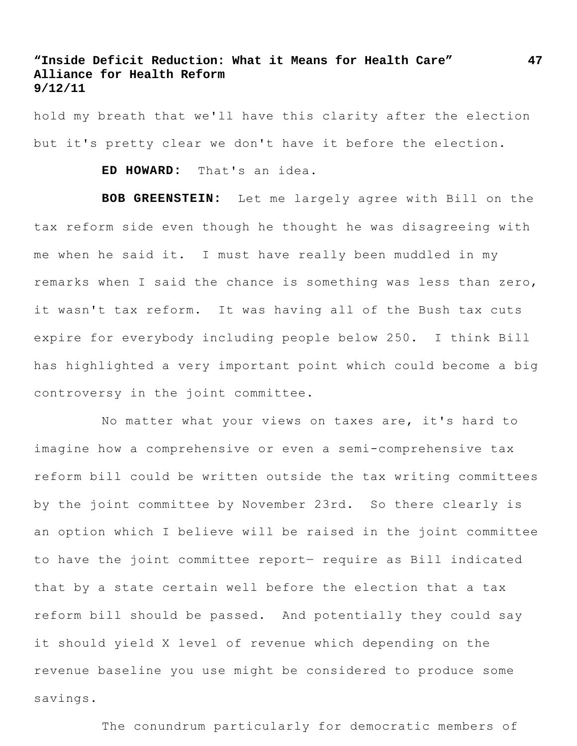hold my breath that we'll have this clarity after the election but it's pretty clear we don't have it before the election.

**ED HOWARD:** That's an idea.

**BOB GREENSTEIN:** Let me largely agree with Bill on the tax reform side even though he thought he was disagreeing with me when he said it. I must have really been muddled in my remarks when I said the chance is something was less than zero, it wasn't tax reform. It was having all of the Bush tax cuts expire for everybody including people below 250. I think Bill has highlighted a very important point which could become a big controversy in the joint committee.

No matter what your views on taxes are, it's hard to imagine how a comprehensive or even a semi-comprehensive tax reform bill could be written outside the tax writing committees by the joint committee by November 23rd. So there clearly is an option which I believe will be raised in the joint committee to have the joint committee report― require as Bill indicated that by a state certain well before the election that a tax reform bill should be passed. And potentially they could say it should yield X level of revenue which depending on the revenue baseline you use might be considered to produce some savings.

The conundrum particularly for democratic members of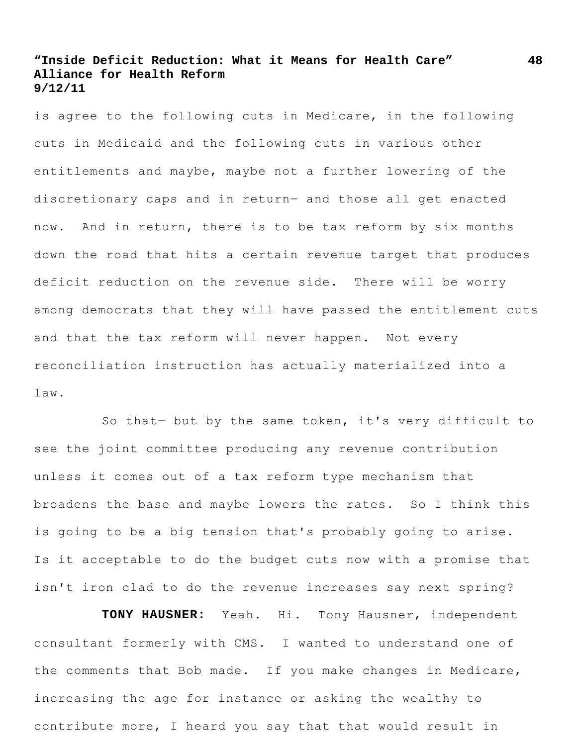is agree to the following cuts in Medicare, in the following cuts in Medicaid and the following cuts in various other entitlements and maybe, maybe not a further lowering of the discretionary caps and in return― and those all get enacted now. And in return, there is to be tax reform by six months down the road that hits a certain revenue target that produces deficit reduction on the revenue side. There will be worry among democrats that they will have passed the entitlement cuts and that the tax reform will never happen. Not every reconciliation instruction has actually materialized into a law.

So that― but by the same token, it's very difficult to see the joint committee producing any revenue contribution unless it comes out of a tax reform type mechanism that broadens the base and maybe lowers the rates. So I think this is going to be a big tension that's probably going to arise. Is it acceptable to do the budget cuts now with a promise that isn't iron clad to do the revenue increases say next spring?

**TONY HAUSNER:** Yeah. Hi. Tony Hausner, independent consultant formerly with CMS. I wanted to understand one of the comments that Bob made. If you make changes in Medicare, increasing the age for instance or asking the wealthy to contribute more, I heard you say that that would result in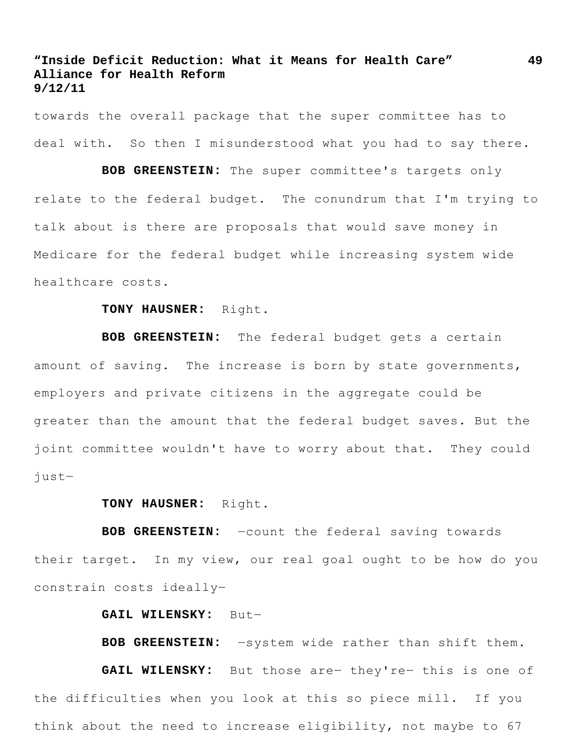towards the overall package that the super committee has to deal with. So then I misunderstood what you had to say there.

**BOB GREENSTEIN:** The super committee's targets only relate to the federal budget. The conundrum that I'm trying to talk about is there are proposals that would save money in Medicare for the federal budget while increasing system wide healthcare costs.

#### **TONY HAUSNER:** Right.

**BOB GREENSTEIN:** The federal budget gets a certain amount of saving. The increase is born by state governments, employers and private citizens in the aggregate could be greater than the amount that the federal budget saves. But the joint committee wouldn't have to worry about that. They could just―

#### **TONY HAUSNER:** Right.

**BOB GREENSTEIN:** ―count the federal saving towards their target. In my view, our real goal ought to be how do you constrain costs ideally―

#### **GAIL WILENSKY:** But―

**BOB GREENSTEIN:** ―system wide rather than shift them.

GAIL WILENSKY: But those are- they're- this is one of the difficulties when you look at this so piece mill. If you think about the need to increase eligibility, not maybe to 67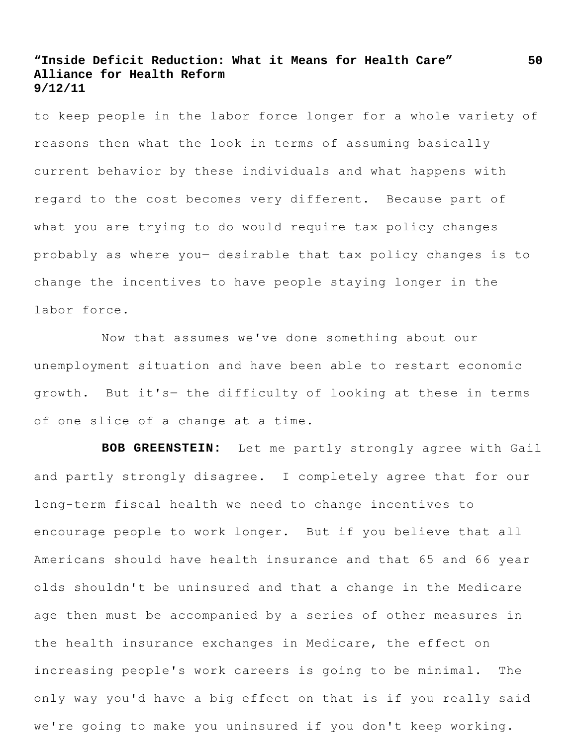to keep people in the labor force longer for a whole variety of reasons then what the look in terms of assuming basically current behavior by these individuals and what happens with regard to the cost becomes very different. Because part of what you are trying to do would require tax policy changes probably as where you― desirable that tax policy changes is to change the incentives to have people staying longer in the labor force.

Now that assumes we've done something about our unemployment situation and have been able to restart economic growth. But it's― the difficulty of looking at these in terms of one slice of a change at a time.

**BOB GREENSTEIN:** Let me partly strongly agree with Gail and partly strongly disagree. I completely agree that for our long-term fiscal health we need to change incentives to encourage people to work longer. But if you believe that all Americans should have health insurance and that 65 and 66 year olds shouldn't be uninsured and that a change in the Medicare age then must be accompanied by a series of other measures in the health insurance exchanges in Medicare, the effect on increasing people's work careers is going to be minimal. The only way you'd have a big effect on that is if you really said we're going to make you uninsured if you don't keep working.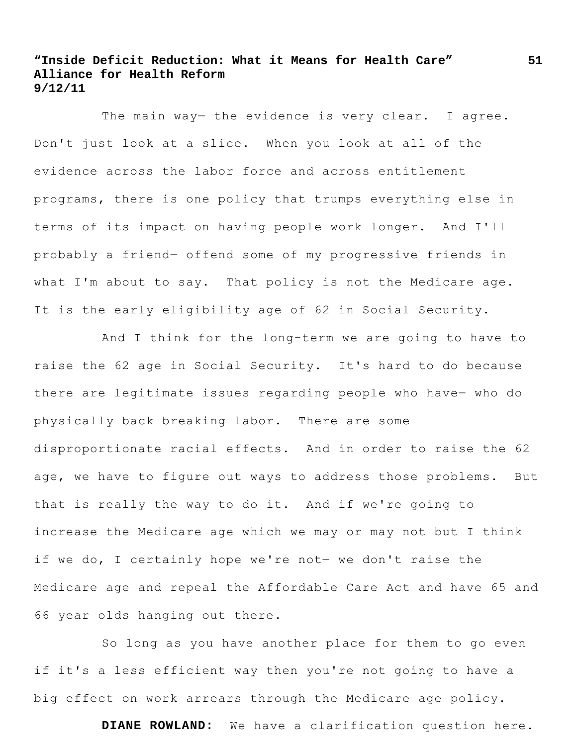The main way- the evidence is very clear. I agree. Don't just look at a slice. When you look at all of the evidence across the labor force and across entitlement programs, there is one policy that trumps everything else in terms of its impact on having people work longer. And I'll probably a friend― offend some of my progressive friends in what I'm about to say. That policy is not the Medicare age. It is the early eligibility age of 62 in Social Security.

And I think for the long-term we are going to have to raise the 62 age in Social Security. It's hard to do because there are legitimate issues regarding people who have- who do physically back breaking labor. There are some disproportionate racial effects. And in order to raise the 62 age, we have to figure out ways to address those problems. But that is really the way to do it. And if we're going to increase the Medicare age which we may or may not but I think if we do, I certainly hope we're not― we don't raise the Medicare age and repeal the Affordable Care Act and have 65 and 66 year olds hanging out there.

So long as you have another place for them to go even if it's a less efficient way then you're not going to have a big effect on work arrears through the Medicare age policy.

**DIANE ROWLAND:** We have a clarification question here.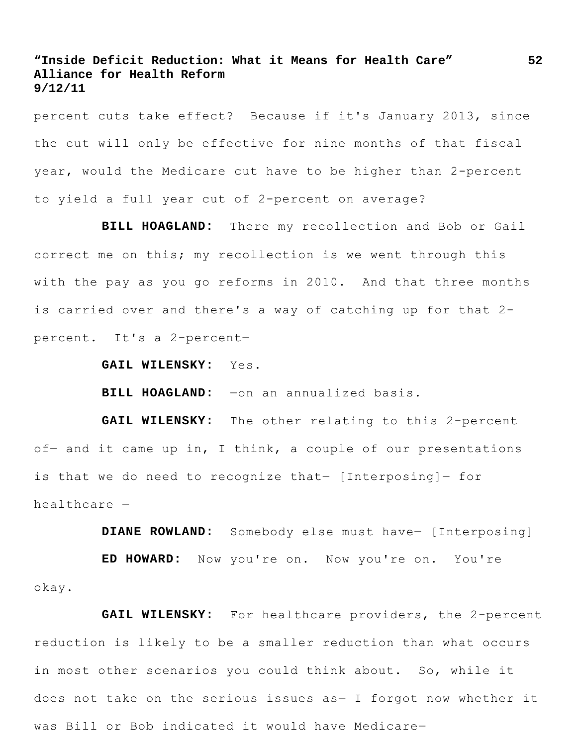percent cuts take effect? Because if it's January 2013, since the cut will only be effective for nine months of that fiscal year, would the Medicare cut have to be higher than 2-percent to yield a full year cut of 2-percent on average?

**BILL HOAGLAND:** There my recollection and Bob or Gail correct me on this; my recollection is we went through this with the pay as you go reforms in 2010. And that three months is carried over and there's a way of catching up for that 2 percent. It's a 2-percent―

**GAIL WILENSKY:** Yes.

**BILL HOAGLAND:** ―on an annualized basis.

**GAIL WILENSKY:** The other relating to this 2-percent of- and it came up in, I think, a couple of our presentations is that we do need to recognize that― [Interposing]― for healthcare ―

**DIANE ROWLAND:** Somebody else must have― [Interposing]

**ED HOWARD:** Now you're on. Now you're on. You're okay.

**GAIL WILENSKY:** For healthcare providers, the 2-percent reduction is likely to be a smaller reduction than what occurs in most other scenarios you could think about. So, while it does not take on the serious issues as― I forgot now whether it was Bill or Bob indicated it would have Medicare―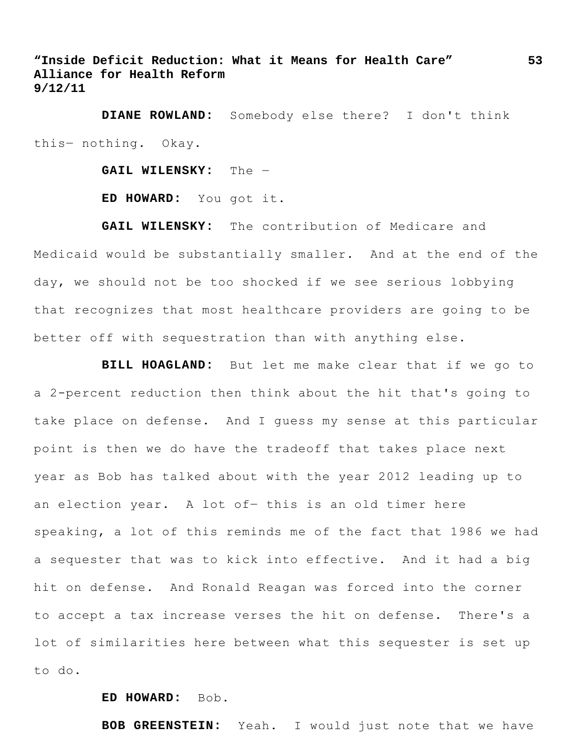**DIANE ROWLAND:** Somebody else there? I don't think this― nothing. Okay.

**GAIL WILENSKY:** The ―

**ED HOWARD:** You got it.

**GAIL WILENSKY:** The contribution of Medicare and Medicaid would be substantially smaller. And at the end of the day, we should not be too shocked if we see serious lobbying that recognizes that most healthcare providers are going to be better off with sequestration than with anything else.

**BILL HOAGLAND:** But let me make clear that if we go to a 2-percent reduction then think about the hit that's going to take place on defense. And I guess my sense at this particular point is then we do have the tradeoff that takes place next year as Bob has talked about with the year 2012 leading up to an election year. A lot of- this is an old timer here speaking, a lot of this reminds me of the fact that 1986 we had a sequester that was to kick into effective. And it had a big hit on defense. And Ronald Reagan was forced into the corner to accept a tax increase verses the hit on defense. There's a lot of similarities here between what this sequester is set up to do.

#### **ED HOWARD:** Bob.

**BOB GREENSTEIN:** Yeah. I would just note that we have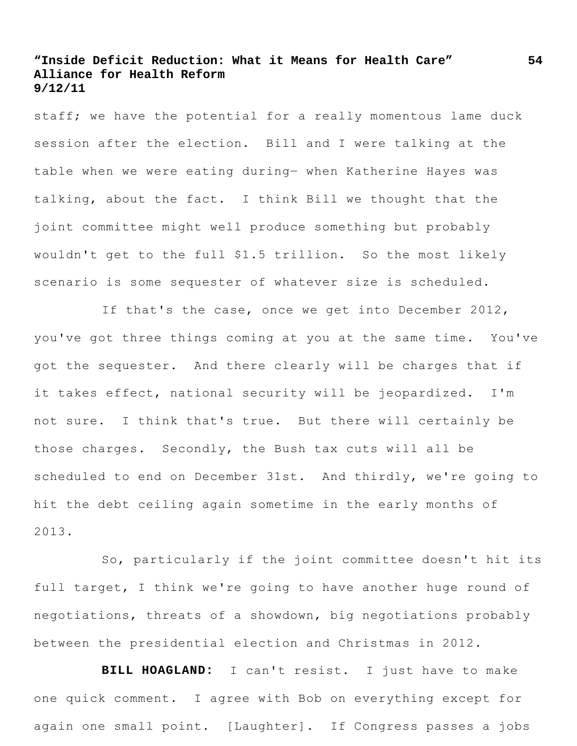staff; we have the potential for a really momentous lame duck session after the election. Bill and I were talking at the table when we were eating during― when Katherine Hayes was talking, about the fact. I think Bill we thought that the joint committee might well produce something but probably wouldn't get to the full \$1.5 trillion. So the most likely scenario is some sequester of whatever size is scheduled.

If that's the case, once we get into December 2012, you've got three things coming at you at the same time. You've got the sequester. And there clearly will be charges that if it takes effect, national security will be jeopardized. I'm not sure. I think that's true. But there will certainly be those charges. Secondly, the Bush tax cuts will all be scheduled to end on December 31st. And thirdly, we're going to hit the debt ceiling again sometime in the early months of 2013.

So, particularly if the joint committee doesn't hit its full target, I think we're going to have another huge round of negotiations, threats of a showdown, big negotiations probably between the presidential election and Christmas in 2012.

**BILL HOAGLAND:** I can't resist. I just have to make one quick comment. I agree with Bob on everything except for again one small point. [Laughter]. If Congress passes a jobs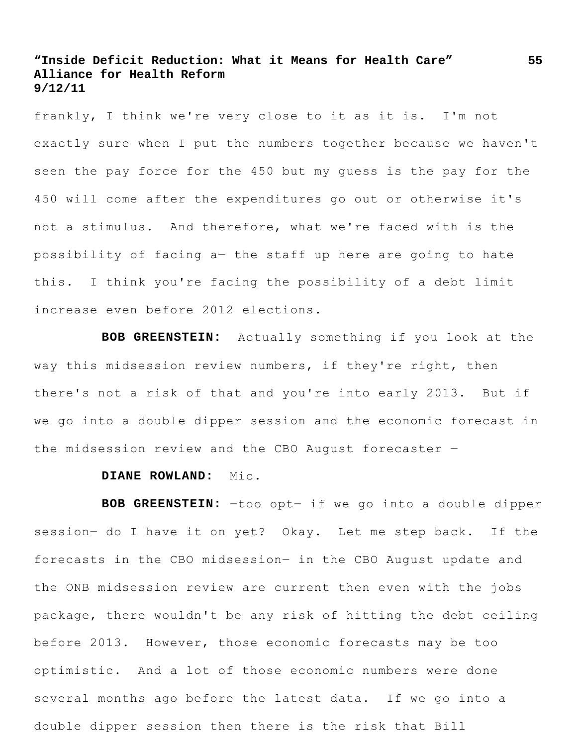frankly, I think we're very close to it as it is. I'm not exactly sure when I put the numbers together because we haven't seen the pay force for the 450 but my guess is the pay for the 450 will come after the expenditures go out or otherwise it's not a stimulus. And therefore, what we're faced with is the possibility of facing a― the staff up here are going to hate this. I think you're facing the possibility of a debt limit increase even before 2012 elections.

**BOB GREENSTEIN:** Actually something if you look at the way this midsession review numbers, if they're right, then there's not a risk of that and you're into early 2013. But if we go into a double dipper session and the economic forecast in the midsession review and the CBO August forecaster ―

#### **DIANE ROWLAND:** Mic.

**BOB GREENSTEIN:** ―too opt― if we go into a double dipper session- do I have it on yet? Okay. Let me step back. If the forecasts in the CBO midsession― in the CBO August update and the ONB midsession review are current then even with the jobs package, there wouldn't be any risk of hitting the debt ceiling before 2013. However, those economic forecasts may be too optimistic. And a lot of those economic numbers were done several months ago before the latest data. If we go into a double dipper session then there is the risk that Bill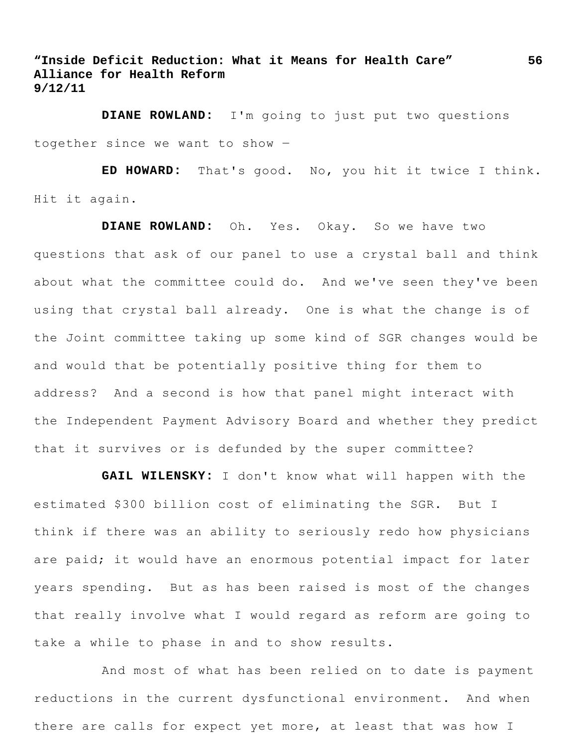**DIANE ROWLAND:** I'm going to just put two questions together since we want to show ―

**ED HOWARD:** That's good. No, you hit it twice I think. Hit it again.

**DIANE ROWLAND:** Oh. Yes. Okay. So we have two questions that ask of our panel to use a crystal ball and think about what the committee could do. And we've seen they've been using that crystal ball already. One is what the change is of the Joint committee taking up some kind of SGR changes would be and would that be potentially positive thing for them to address? And a second is how that panel might interact with the Independent Payment Advisory Board and whether they predict that it survives or is defunded by the super committee?

**GAIL WILENSKY:** I don't know what will happen with the estimated \$300 billion cost of eliminating the SGR. But I think if there was an ability to seriously redo how physicians are paid; it would have an enormous potential impact for later years spending. But as has been raised is most of the changes that really involve what I would regard as reform are going to take a while to phase in and to show results.

And most of what has been relied on to date is payment reductions in the current dysfunctional environment. And when there are calls for expect yet more, at least that was how I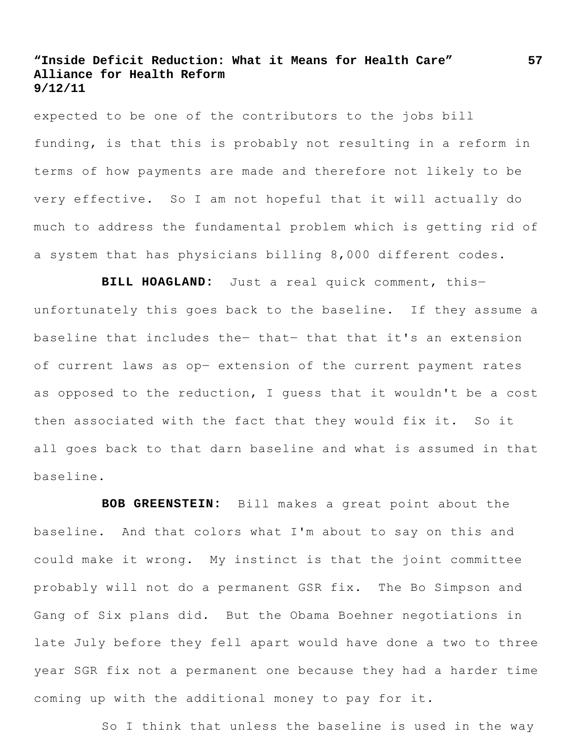expected to be one of the contributors to the jobs bill funding, is that this is probably not resulting in a reform in terms of how payments are made and therefore not likely to be very effective. So I am not hopeful that it will actually do much to address the fundamental problem which is getting rid of a system that has physicians billing 8,000 different codes.

**BILL HOAGLAND:** Just a real quick comment, this― unfortunately this goes back to the baseline. If they assume a baseline that includes the― that― that that it's an extension of current laws as op― extension of the current payment rates as opposed to the reduction, I guess that it wouldn't be a cost then associated with the fact that they would fix it. So it all goes back to that darn baseline and what is assumed in that baseline.

**BOB GREENSTEIN:** Bill makes a great point about the baseline. And that colors what I'm about to say on this and could make it wrong. My instinct is that the joint committee probably will not do a permanent GSR fix. The Bo Simpson and Gang of Six plans did. But the Obama Boehner negotiations in late July before they fell apart would have done a two to three year SGR fix not a permanent one because they had a harder time coming up with the additional money to pay for it.

So I think that unless the baseline is used in the way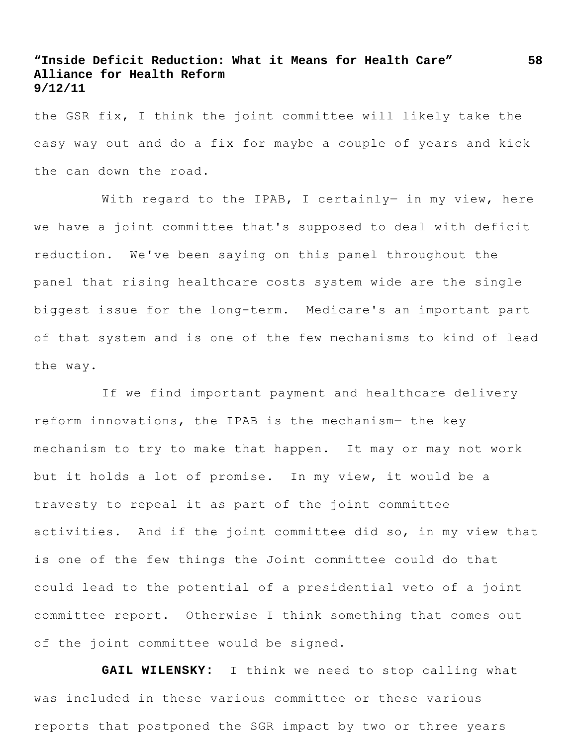the GSR fix, I think the joint committee will likely take the easy way out and do a fix for maybe a couple of years and kick the can down the road.

With regard to the IPAB, I certainly- in my view, here we have a joint committee that's supposed to deal with deficit reduction. We've been saying on this panel throughout the panel that rising healthcare costs system wide are the single biggest issue for the long-term. Medicare's an important part of that system and is one of the few mechanisms to kind of lead the way.

If we find important payment and healthcare delivery reform innovations, the IPAB is the mechanism― the key mechanism to try to make that happen. It may or may not work but it holds a lot of promise. In my view, it would be a travesty to repeal it as part of the joint committee activities. And if the joint committee did so, in my view that is one of the few things the Joint committee could do that could lead to the potential of a presidential veto of a joint committee report. Otherwise I think something that comes out of the joint committee would be signed.

**GAIL WILENSKY:** I think we need to stop calling what was included in these various committee or these various reports that postponed the SGR impact by two or three years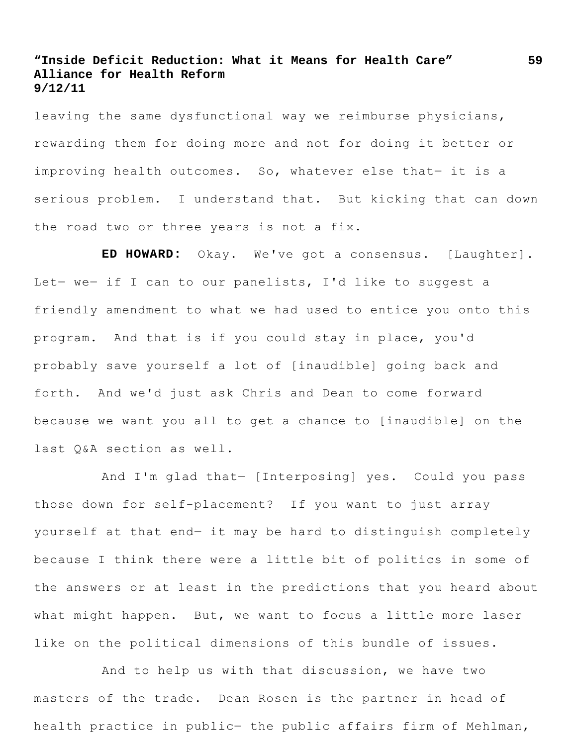leaving the same dysfunctional way we reimburse physicians, rewarding them for doing more and not for doing it better or improving health outcomes. So, whatever else that- it is a serious problem. I understand that. But kicking that can down the road two or three years is not a fix.

**ED HOWARD:** Okay. We've got a consensus. [Laughter]. Let- we- if I can to our panelists, I'd like to suggest a friendly amendment to what we had used to entice you onto this program. And that is if you could stay in place, you'd probably save yourself a lot of [inaudible] going back and forth. And we'd just ask Chris and Dean to come forward because we want you all to get a chance to [inaudible] on the last Q&A section as well.

And I'm glad that― [Interposing] yes. Could you pass those down for self-placement? If you want to just array yourself at that end― it may be hard to distinguish completely because I think there were a little bit of politics in some of the answers or at least in the predictions that you heard about what might happen. But, we want to focus a little more laser like on the political dimensions of this bundle of issues.

And to help us with that discussion, we have two masters of the trade. Dean Rosen is the partner in head of health practice in public- the public affairs firm of Mehlman,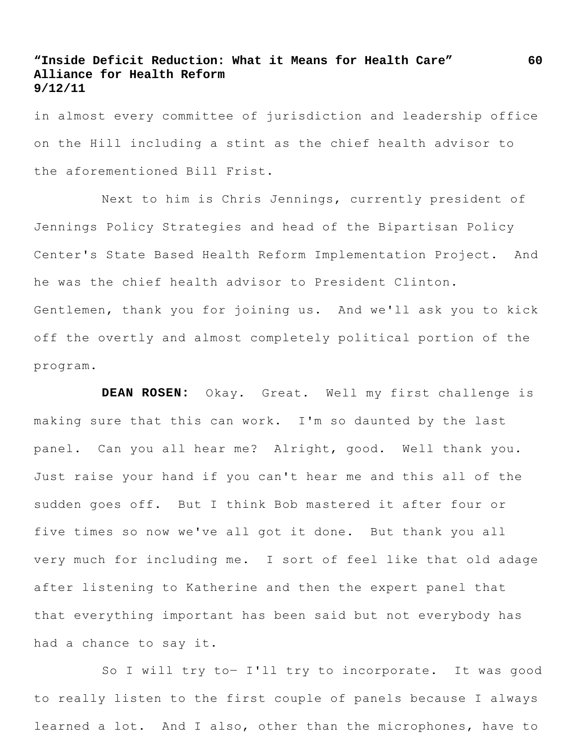in almost every committee of jurisdiction and leadership office on the Hill including a stint as the chief health advisor to the aforementioned Bill Frist.

Next to him is Chris Jennings, currently president of Jennings Policy Strategies and head of the Bipartisan Policy Center's State Based Health Reform Implementation Project. And he was the chief health advisor to President Clinton. Gentlemen, thank you for joining us. And we'll ask you to kick off the overtly and almost completely political portion of the program.

**DEAN ROSEN:** Okay. Great. Well my first challenge is making sure that this can work. I'm so daunted by the last panel. Can you all hear me? Alright, good. Well thank you. Just raise your hand if you can't hear me and this all of the sudden goes off. But I think Bob mastered it after four or five times so now we've all got it done. But thank you all very much for including me. I sort of feel like that old adage after listening to Katherine and then the expert panel that that everything important has been said but not everybody has had a chance to say it.

So I will try to- I'll try to incorporate. It was good to really listen to the first couple of panels because I always learned a lot. And I also, other than the microphones, have to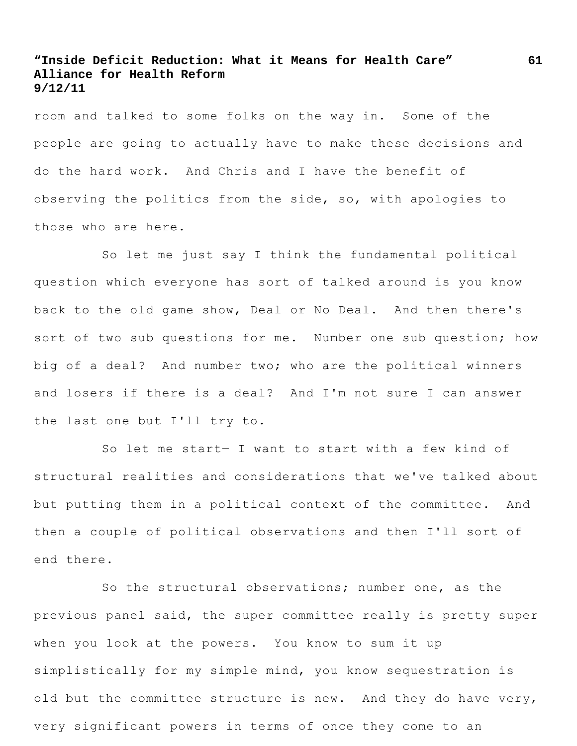room and talked to some folks on the way in. Some of the people are going to actually have to make these decisions and do the hard work. And Chris and I have the benefit of observing the politics from the side, so, with apologies to those who are here.

So let me just say I think the fundamental political question which everyone has sort of talked around is you know back to the old game show, Deal or No Deal. And then there's sort of two sub questions for me. Number one sub question; how big of a deal? And number two; who are the political winners and losers if there is a deal? And I'm not sure I can answer the last one but I'll try to.

So let me start― I want to start with a few kind of structural realities and considerations that we've talked about but putting them in a political context of the committee. And then a couple of political observations and then I'll sort of end there.

So the structural observations; number one, as the previous panel said, the super committee really is pretty super when you look at the powers. You know to sum it up simplistically for my simple mind, you know sequestration is old but the committee structure is new. And they do have very, very significant powers in terms of once they come to an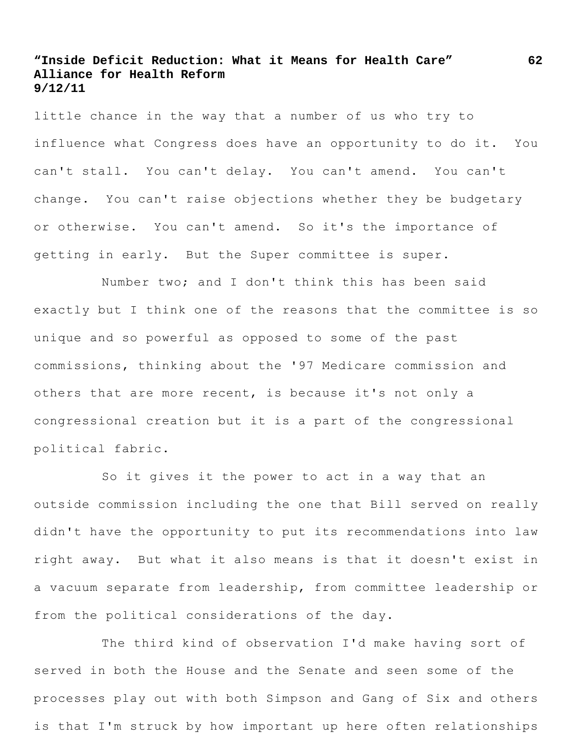little chance in the way that a number of us who try to influence what Congress does have an opportunity to do it. You can't stall. You can't delay. You can't amend. You can't change. You can't raise objections whether they be budgetary or otherwise. You can't amend. So it's the importance of getting in early. But the Super committee is super.

Number two; and I don't think this has been said exactly but I think one of the reasons that the committee is so unique and so powerful as opposed to some of the past commissions, thinking about the '97 Medicare commission and others that are more recent, is because it's not only a congressional creation but it is a part of the congressional political fabric.

So it gives it the power to act in a way that an outside commission including the one that Bill served on really didn't have the opportunity to put its recommendations into law right away. But what it also means is that it doesn't exist in a vacuum separate from leadership, from committee leadership or from the political considerations of the day.

The third kind of observation I'd make having sort of served in both the House and the Senate and seen some of the processes play out with both Simpson and Gang of Six and others is that I'm struck by how important up here often relationships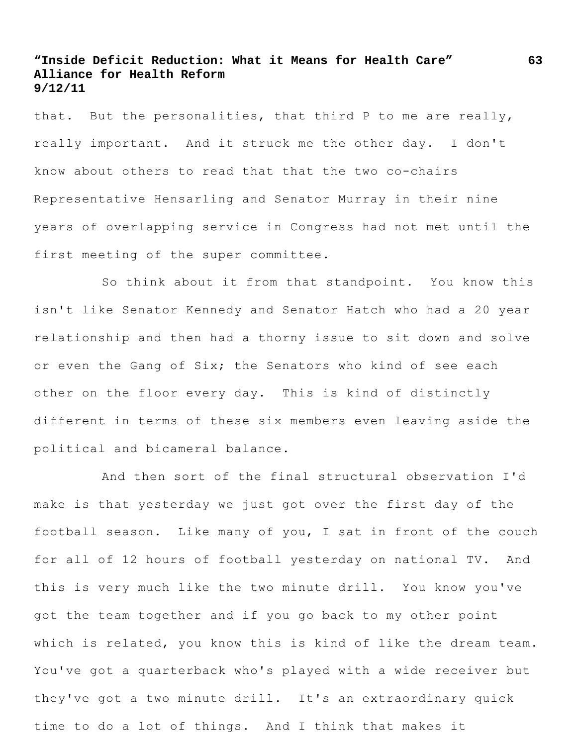that. But the personalities, that third P to me are really, really important. And it struck me the other day. I don't know about others to read that that the two co-chairs Representative Hensarling and Senator Murray in their nine years of overlapping service in Congress had not met until the first meeting of the super committee.

So think about it from that standpoint. You know this isn't like Senator Kennedy and Senator Hatch who had a 20 year relationship and then had a thorny issue to sit down and solve or even the Gang of Six; the Senators who kind of see each other on the floor every day. This is kind of distinctly different in terms of these six members even leaving aside the political and bicameral balance.

And then sort of the final structural observation I'd make is that yesterday we just got over the first day of the football season. Like many of you, I sat in front of the couch for all of 12 hours of football yesterday on national TV. And this is very much like the two minute drill. You know you've got the team together and if you go back to my other point which is related, you know this is kind of like the dream team. You've got a quarterback who's played with a wide receiver but they've got a two minute drill. It's an extraordinary quick time to do a lot of things. And I think that makes it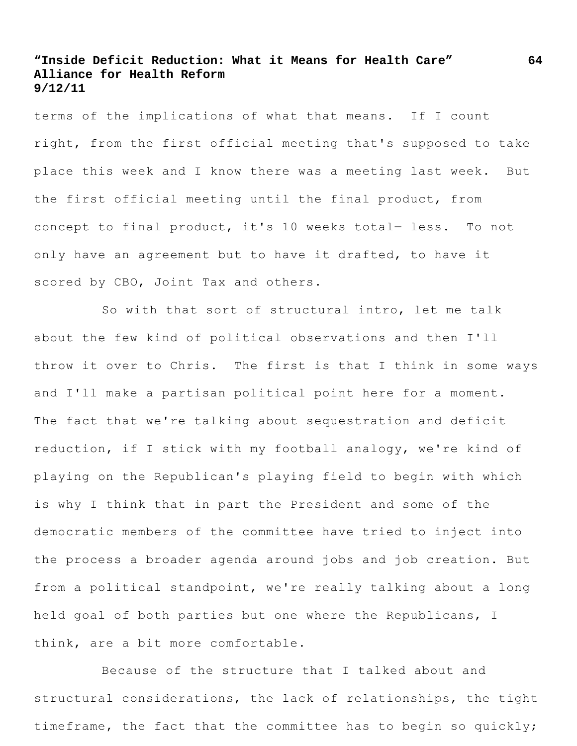terms of the implications of what that means. If I count right, from the first official meeting that's supposed to take place this week and I know there was a meeting last week. But the first official meeting until the final product, from concept to final product, it's 10 weeks total- less. To not only have an agreement but to have it drafted, to have it scored by CBO, Joint Tax and others.

So with that sort of structural intro, let me talk about the few kind of political observations and then I'll throw it over to Chris. The first is that I think in some ways and I'll make a partisan political point here for a moment. The fact that we're talking about sequestration and deficit reduction, if I stick with my football analogy, we're kind of playing on the Republican's playing field to begin with which is why I think that in part the President and some of the democratic members of the committee have tried to inject into the process a broader agenda around jobs and job creation. But from a political standpoint, we're really talking about a long held goal of both parties but one where the Republicans, I think, are a bit more comfortable.

Because of the structure that I talked about and structural considerations, the lack of relationships, the tight timeframe, the fact that the committee has to begin so quickly;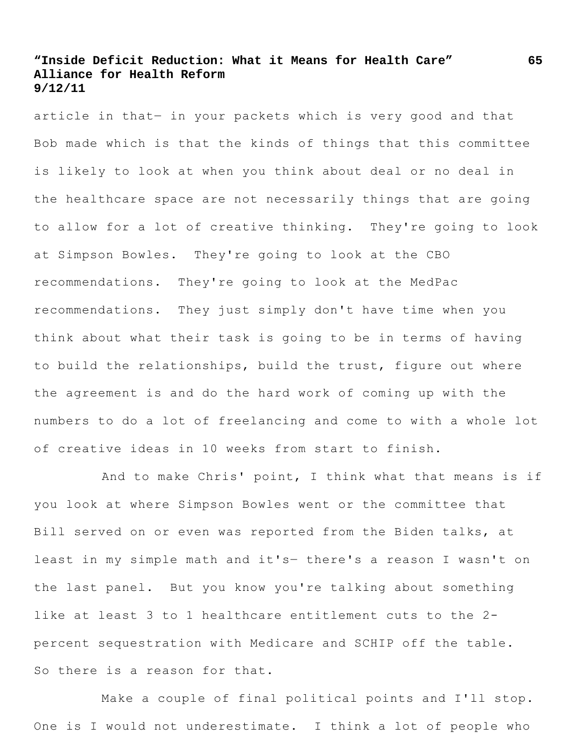article in that― in your packets which is very good and that Bob made which is that the kinds of things that this committee is likely to look at when you think about deal or no deal in the healthcare space are not necessarily things that are going to allow for a lot of creative thinking. They're going to look at Simpson Bowles. They're going to look at the CBO recommendations. They're going to look at the MedPac recommendations. They just simply don't have time when you think about what their task is going to be in terms of having to build the relationships, build the trust, figure out where the agreement is and do the hard work of coming up with the numbers to do a lot of freelancing and come to with a whole lot of creative ideas in 10 weeks from start to finish.

And to make Chris' point, I think what that means is if you look at where Simpson Bowles went or the committee that Bill served on or even was reported from the Biden talks, at least in my simple math and it's― there's a reason I wasn't on the last panel. But you know you're talking about something like at least 3 to 1 healthcare entitlement cuts to the 2 percent sequestration with Medicare and SCHIP off the table. So there is a reason for that.

Make a couple of final political points and I'll stop. One is I would not underestimate. I think a lot of people who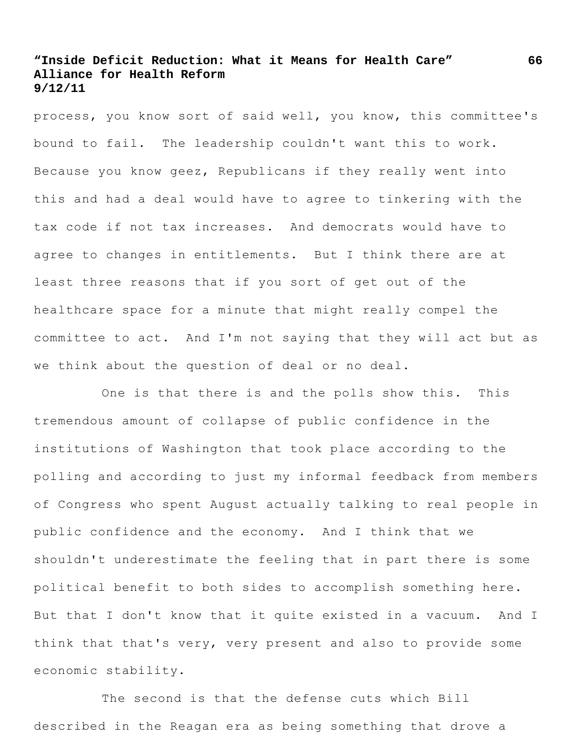process, you know sort of said well, you know, this committee's bound to fail. The leadership couldn't want this to work. Because you know geez, Republicans if they really went into this and had a deal would have to agree to tinkering with the tax code if not tax increases. And democrats would have to agree to changes in entitlements. But I think there are at least three reasons that if you sort of get out of the healthcare space for a minute that might really compel the committee to act. And I'm not saying that they will act but as we think about the question of deal or no deal.

One is that there is and the polls show this. This tremendous amount of collapse of public confidence in the institutions of Washington that took place according to the polling and according to just my informal feedback from members of Congress who spent August actually talking to real people in public confidence and the economy. And I think that we shouldn't underestimate the feeling that in part there is some political benefit to both sides to accomplish something here. But that I don't know that it quite existed in a vacuum. And I think that that's very, very present and also to provide some economic stability.

The second is that the defense cuts which Bill described in the Reagan era as being something that drove a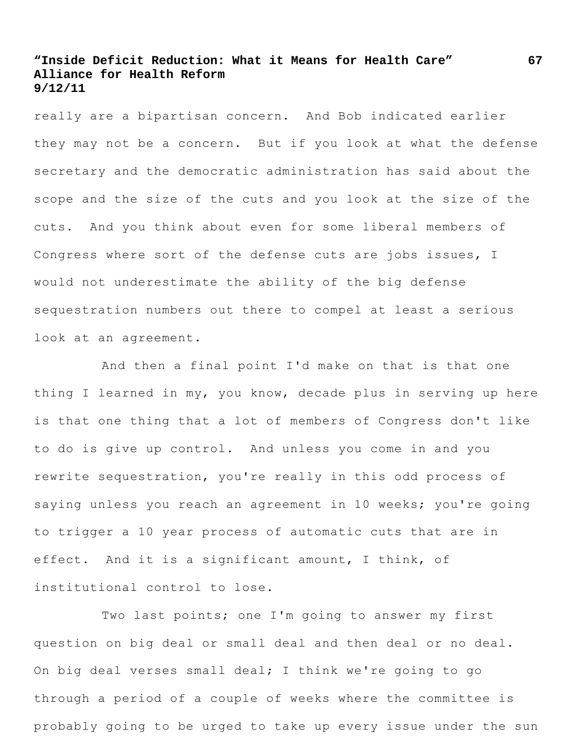really are a bipartisan concern. And Bob indicated earlier they may not be a concern. But if you look at what the defense secretary and the democratic administration has said about the scope and the size of the cuts and you look at the size of the cuts. And you think about even for some liberal members of Congress where sort of the defense cuts are jobs issues, I would not underestimate the ability of the big defense sequestration numbers out there to compel at least a serious look at an agreement.

And then a final point I'd make on that is that one thing I learned in my, you know, decade plus in serving up here is that one thing that a lot of members of Congress don't like to do is give up control. And unless you come in and you rewrite sequestration, you're really in this odd process of saying unless you reach an agreement in 10 weeks; you're going to trigger a 10 year process of automatic cuts that are in effect. And it is a significant amount, I think, of institutional control to lose.

Two last points; one I'm going to answer my first question on big deal or small deal and then deal or no deal. On big deal verses small deal; I think we're going to go through a period of a couple of weeks where the committee is probably going to be urged to take up every issue under the sun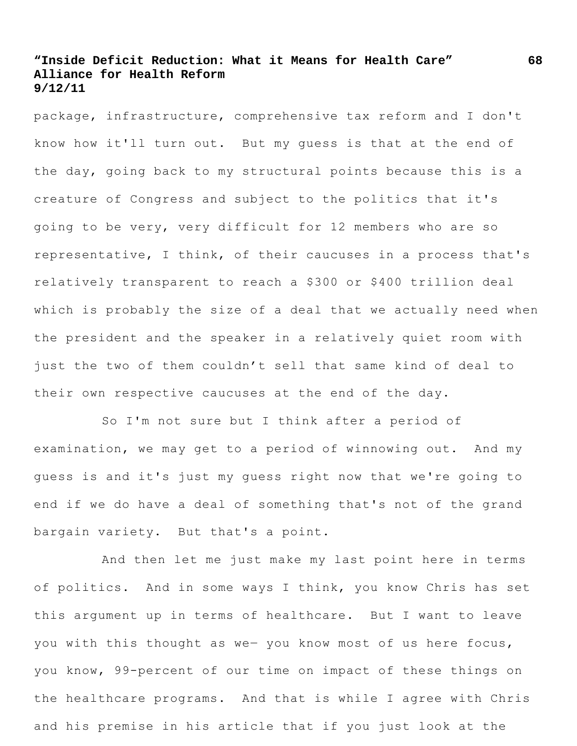package, infrastructure, comprehensive tax reform and I don't know how it'll turn out. But my guess is that at the end of the day, going back to my structural points because this is a creature of Congress and subject to the politics that it's going to be very, very difficult for 12 members who are so representative, I think, of their caucuses in a process that's relatively transparent to reach a \$300 or \$400 trillion deal which is probably the size of a deal that we actually need when the president and the speaker in a relatively quiet room with just the two of them couldn't sell that same kind of deal to their own respective caucuses at the end of the day.

So I'm not sure but I think after a period of examination, we may get to a period of winnowing out. And my guess is and it's just my guess right now that we're going to end if we do have a deal of something that's not of the grand bargain variety. But that's a point.

And then let me just make my last point here in terms of politics. And in some ways I think, you know Chris has set this argument up in terms of healthcare. But I want to leave you with this thought as we- you know most of us here focus, you know, 99-percent of our time on impact of these things on the healthcare programs. And that is while I agree with Chris and his premise in his article that if you just look at the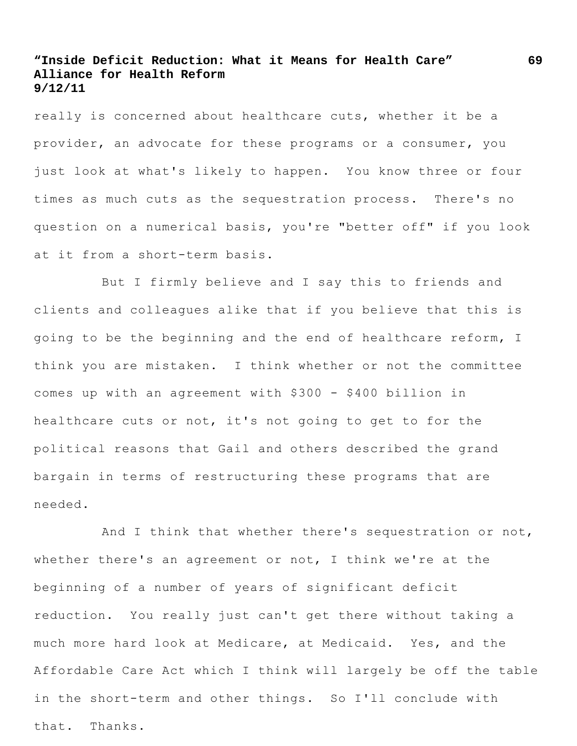really is concerned about healthcare cuts, whether it be a provider, an advocate for these programs or a consumer, you just look at what's likely to happen. You know three or four times as much cuts as the sequestration process. There's no question on a numerical basis, you're "better off" if you look at it from a short-term basis.

But I firmly believe and I say this to friends and clients and colleagues alike that if you believe that this is going to be the beginning and the end of healthcare reform, I think you are mistaken. I think whether or not the committee comes up with an agreement with \$300 - \$400 billion in healthcare cuts or not, it's not going to get to for the political reasons that Gail and others described the grand bargain in terms of restructuring these programs that are needed.

And I think that whether there's sequestration or not, whether there's an agreement or not, I think we're at the beginning of a number of years of significant deficit reduction. You really just can't get there without taking a much more hard look at Medicare, at Medicaid. Yes, and the Affordable Care Act which I think will largely be off the table in the short-term and other things. So I'll conclude with that. Thanks.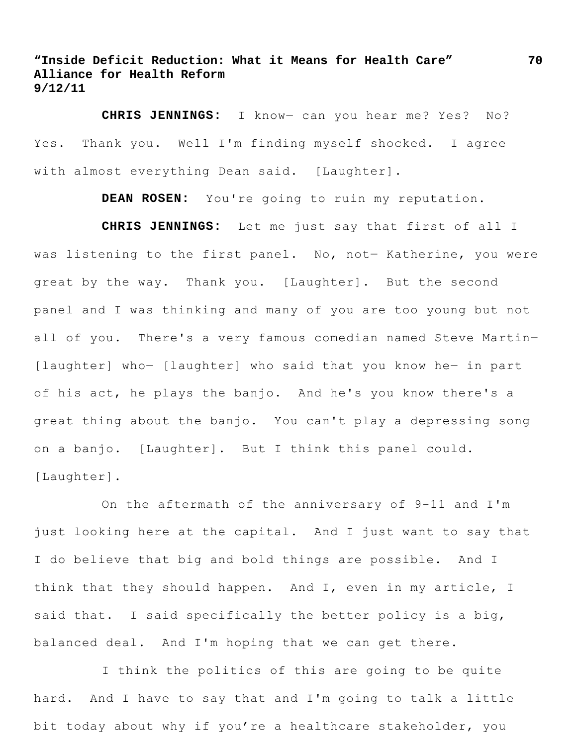**CHRIS JENNINGS:** I know― can you hear me? Yes? No? Yes. Thank you. Well I'm finding myself shocked. I agree with almost everything Dean said. [Laughter].

**DEAN ROSEN:** You're going to ruin my reputation.

**CHRIS JENNINGS:** Let me just say that first of all I was listening to the first panel. No, not- Katherine, you were great by the way. Thank you. [Laughter]. But the second panel and I was thinking and many of you are too young but not all of you. There's a very famous comedian named Steve Martin― [laughter] who― [laughter] who said that you know he― in part of his act, he plays the banjo. And he's you know there's a great thing about the banjo. You can't play a depressing song on a banjo. [Laughter]. But I think this panel could. [Laughter].

On the aftermath of the anniversary of 9-11 and I'm just looking here at the capital. And I just want to say that I do believe that big and bold things are possible. And I think that they should happen. And I, even in my article, I said that. I said specifically the better policy is a big, balanced deal. And I'm hoping that we can get there.

I think the politics of this are going to be quite hard. And I have to say that and I'm going to talk a little bit today about why if you're a healthcare stakeholder, you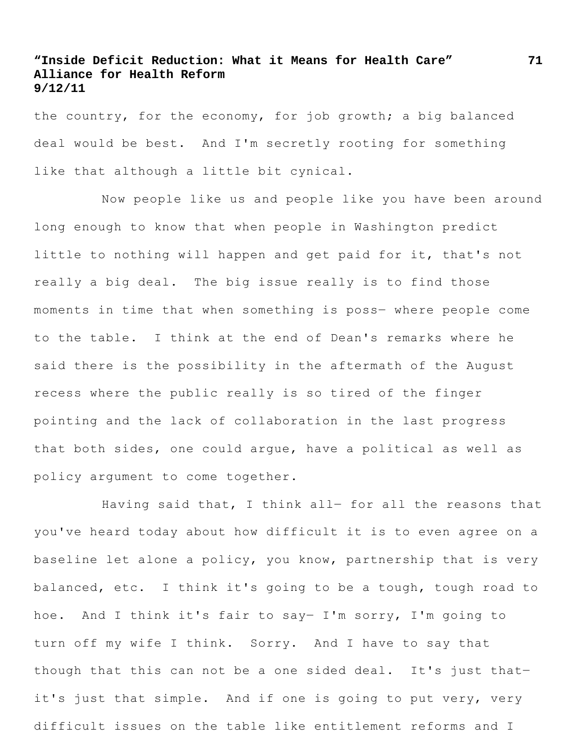the country, for the economy, for job growth; a big balanced deal would be best. And I'm secretly rooting for something like that although a little bit cynical.

Now people like us and people like you have been around long enough to know that when people in Washington predict little to nothing will happen and get paid for it, that's not really a big deal. The big issue really is to find those moments in time that when something is poss― where people come to the table. I think at the end of Dean's remarks where he said there is the possibility in the aftermath of the August recess where the public really is so tired of the finger pointing and the lack of collaboration in the last progress that both sides, one could argue, have a political as well as policy argument to come together.

Having said that, I think all- for all the reasons that you've heard today about how difficult it is to even agree on a baseline let alone a policy, you know, partnership that is very balanced, etc. I think it's going to be a tough, tough road to hoe. And I think it's fair to say― I'm sorry, I'm going to turn off my wife I think. Sorry. And I have to say that though that this can not be a one sided deal. It's just that― it's just that simple. And if one is going to put very, very difficult issues on the table like entitlement reforms and I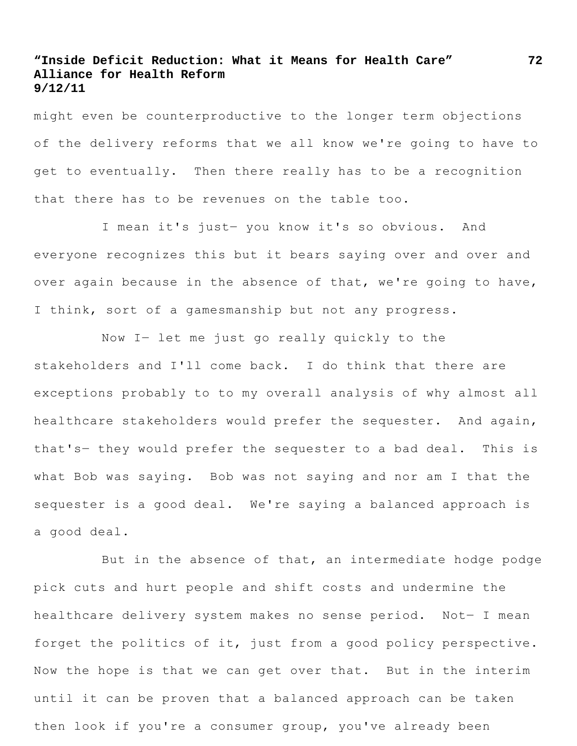might even be counterproductive to the longer term objections of the delivery reforms that we all know we're going to have to get to eventually. Then there really has to be a recognition that there has to be revenues on the table too.

I mean it's just― you know it's so obvious. And everyone recognizes this but it bears saying over and over and over again because in the absence of that, we're going to have, I think, sort of a gamesmanship but not any progress.

Now I― let me just go really quickly to the stakeholders and I'll come back. I do think that there are exceptions probably to to my overall analysis of why almost all healthcare stakeholders would prefer the sequester. And again, that's― they would prefer the sequester to a bad deal. This is what Bob was saying. Bob was not saying and nor am I that the sequester is a good deal. We're saying a balanced approach is a good deal.

But in the absence of that, an intermediate hodge podge pick cuts and hurt people and shift costs and undermine the healthcare delivery system makes no sense period. Not― I mean forget the politics of it, just from a good policy perspective. Now the hope is that we can get over that. But in the interim until it can be proven that a balanced approach can be taken then look if you're a consumer group, you've already been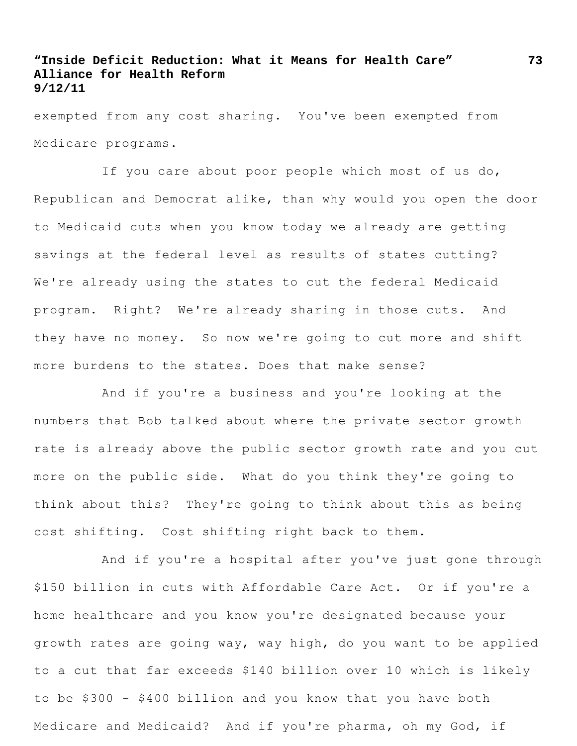exempted from any cost sharing. You've been exempted from Medicare programs.

If you care about poor people which most of us do, Republican and Democrat alike, than why would you open the door to Medicaid cuts when you know today we already are getting savings at the federal level as results of states cutting? We're already using the states to cut the federal Medicaid program. Right? We're already sharing in those cuts. And they have no money. So now we're going to cut more and shift more burdens to the states. Does that make sense?

And if you're a business and you're looking at the numbers that Bob talked about where the private sector growth rate is already above the public sector growth rate and you cut more on the public side. What do you think they're going to think about this? They're going to think about this as being cost shifting. Cost shifting right back to them.

And if you're a hospital after you've just gone through \$150 billion in cuts with Affordable Care Act. Or if you're a home healthcare and you know you're designated because your growth rates are going way, way high, do you want to be applied to a cut that far exceeds \$140 billion over 10 which is likely to be \$300 - \$400 billion and you know that you have both Medicare and Medicaid? And if you're pharma, oh my God, if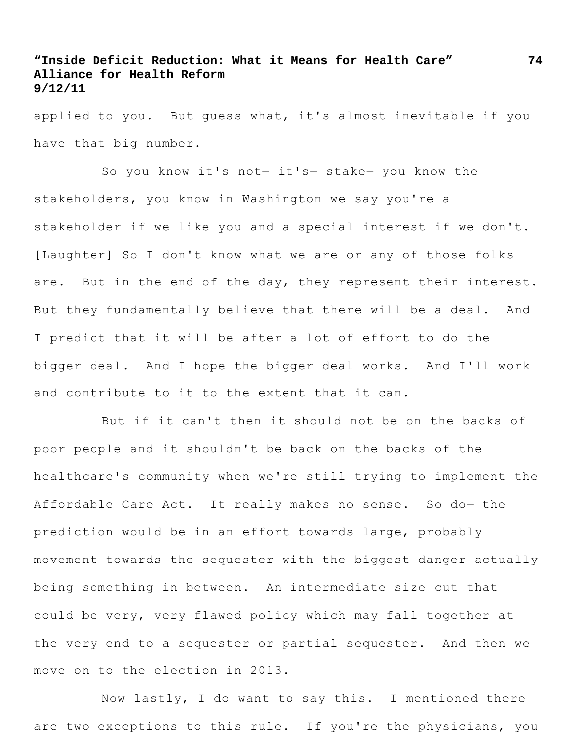applied to you. But guess what, it's almost inevitable if you have that big number.

So you know it's not― it's― stake― you know the stakeholders, you know in Washington we say you're a stakeholder if we like you and a special interest if we don't. [Laughter] So I don't know what we are or any of those folks are. But in the end of the day, they represent their interest. But they fundamentally believe that there will be a deal. And I predict that it will be after a lot of effort to do the bigger deal. And I hope the bigger deal works. And I'll work and contribute to it to the extent that it can.

But if it can't then it should not be on the backs of poor people and it shouldn't be back on the backs of the healthcare's community when we're still trying to implement the Affordable Care Act. It really makes no sense. So do- the prediction would be in an effort towards large, probably movement towards the sequester with the biggest danger actually being something in between. An intermediate size cut that could be very, very flawed policy which may fall together at the very end to a sequester or partial sequester. And then we move on to the election in 2013.

Now lastly, I do want to say this. I mentioned there are two exceptions to this rule. If you're the physicians, you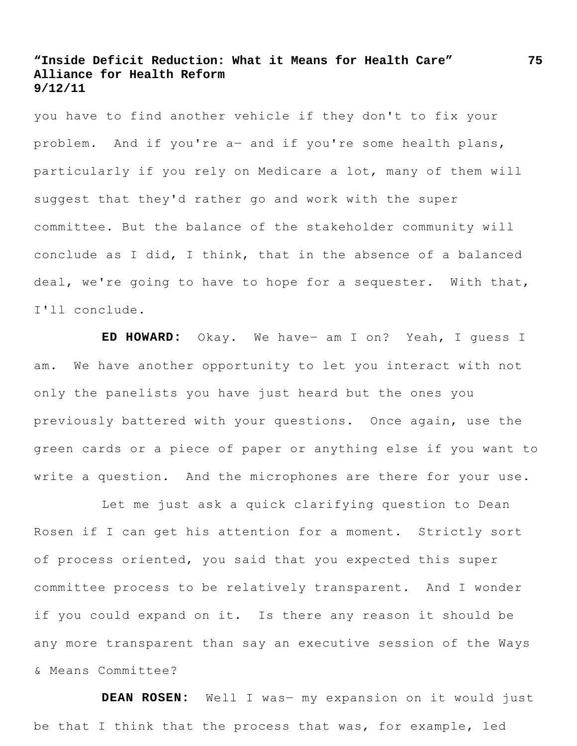you have to find another vehicle if they don't to fix your problem. And if you're a― and if you're some health plans, particularly if you rely on Medicare a lot, many of them will suggest that they'd rather go and work with the super committee. But the balance of the stakeholder community will conclude as I did, I think, that in the absence of a balanced deal, we're going to have to hope for a sequester. With that, I'll conclude.

**ED HOWARD:** Okay. We have― am I on? Yeah, I guess I am. We have another opportunity to let you interact with not only the panelists you have just heard but the ones you previously battered with your questions. Once again, use the green cards or a piece of paper or anything else if you want to write a question. And the microphones are there for your use.

Let me just ask a quick clarifying question to Dean Rosen if I can get his attention for a moment. Strictly sort of process oriented, you said that you expected this super committee process to be relatively transparent. And I wonder if you could expand on it. Is there any reason it should be any more transparent than say an executive session of the Ways & Means Committee?

**DEAN ROSEN:** Well I was― my expansion on it would just be that I think that the process that was, for example, led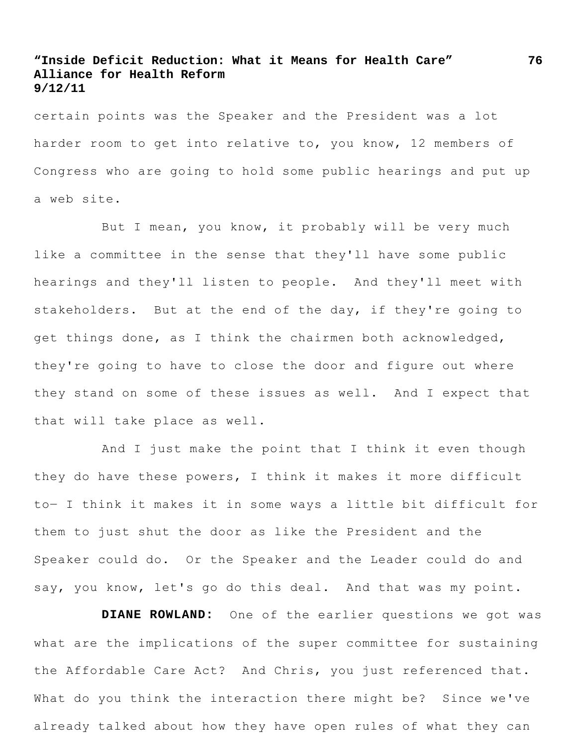certain points was the Speaker and the President was a lot harder room to get into relative to, you know, 12 members of Congress who are going to hold some public hearings and put up a web site.

But I mean, you know, it probably will be very much like a committee in the sense that they'll have some public hearings and they'll listen to people. And they'll meet with stakeholders. But at the end of the day, if they're going to get things done, as I think the chairmen both acknowledged, they're going to have to close the door and figure out where they stand on some of these issues as well. And I expect that that will take place as well.

And I just make the point that I think it even though they do have these powers, I think it makes it more difficult to― I think it makes it in some ways a little bit difficult for them to just shut the door as like the President and the Speaker could do. Or the Speaker and the Leader could do and say, you know, let's go do this deal. And that was my point.

**DIANE ROWLAND:** One of the earlier questions we got was what are the implications of the super committee for sustaining the Affordable Care Act? And Chris, you just referenced that. What do you think the interaction there might be? Since we've already talked about how they have open rules of what they can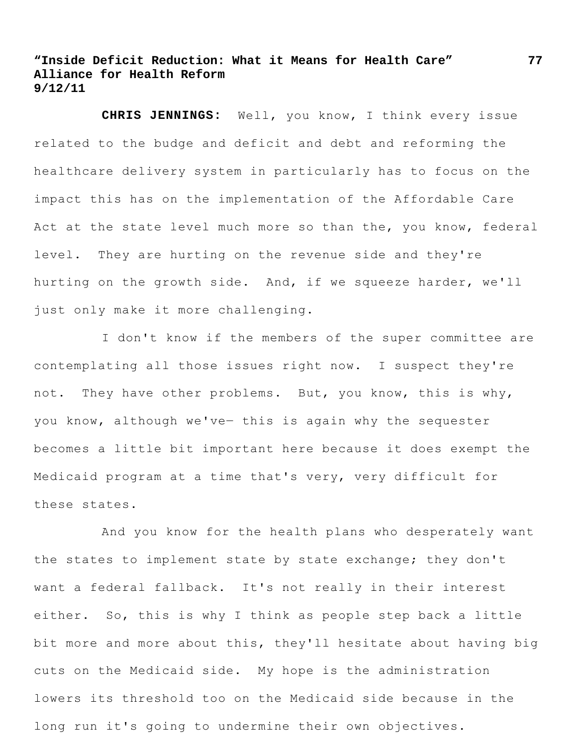**CHRIS JENNINGS:** Well, you know, I think every issue related to the budge and deficit and debt and reforming the healthcare delivery system in particularly has to focus on the impact this has on the implementation of the Affordable Care Act at the state level much more so than the, you know, federal level. They are hurting on the revenue side and they're hurting on the growth side. And, if we squeeze harder, we'll just only make it more challenging.

I don't know if the members of the super committee are contemplating all those issues right now. I suspect they're not. They have other problems. But, you know, this is why, you know, although we've- this is again why the sequester becomes a little bit important here because it does exempt the Medicaid program at a time that's very, very difficult for these states.

And you know for the health plans who desperately want the states to implement state by state exchange; they don't want a federal fallback. It's not really in their interest either. So, this is why I think as people step back a little bit more and more about this, they'll hesitate about having big cuts on the Medicaid side. My hope is the administration lowers its threshold too on the Medicaid side because in the long run it's going to undermine their own objectives.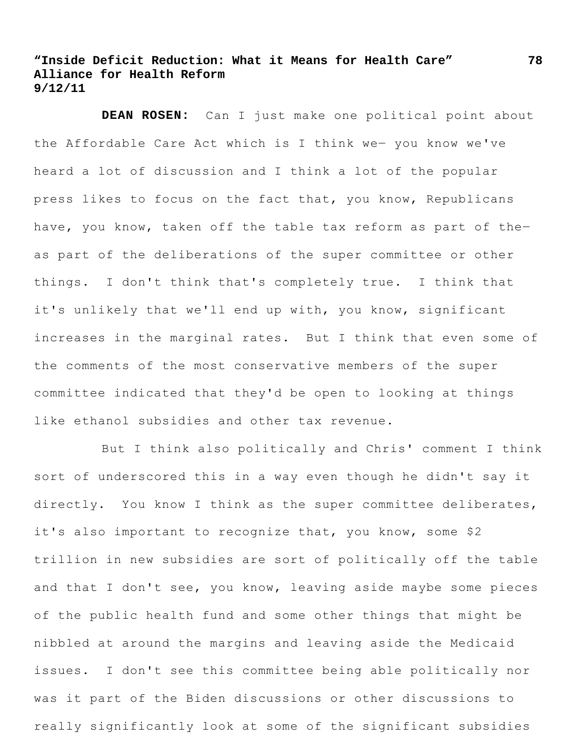**DEAN ROSEN:** Can I just make one political point about the Affordable Care Act which is I think we― you know we've heard a lot of discussion and I think a lot of the popular press likes to focus on the fact that, you know, Republicans have, you know, taken off the table tax reform as part of theas part of the deliberations of the super committee or other things. I don't think that's completely true. I think that it's unlikely that we'll end up with, you know, significant increases in the marginal rates. But I think that even some of the comments of the most conservative members of the super committee indicated that they'd be open to looking at things like ethanol subsidies and other tax revenue.

But I think also politically and Chris' comment I think sort of underscored this in a way even though he didn't say it directly. You know I think as the super committee deliberates, it's also important to recognize that, you know, some \$2 trillion in new subsidies are sort of politically off the table and that I don't see, you know, leaving aside maybe some pieces of the public health fund and some other things that might be nibbled at around the margins and leaving aside the Medicaid issues. I don't see this committee being able politically nor was it part of the Biden discussions or other discussions to really significantly look at some of the significant subsidies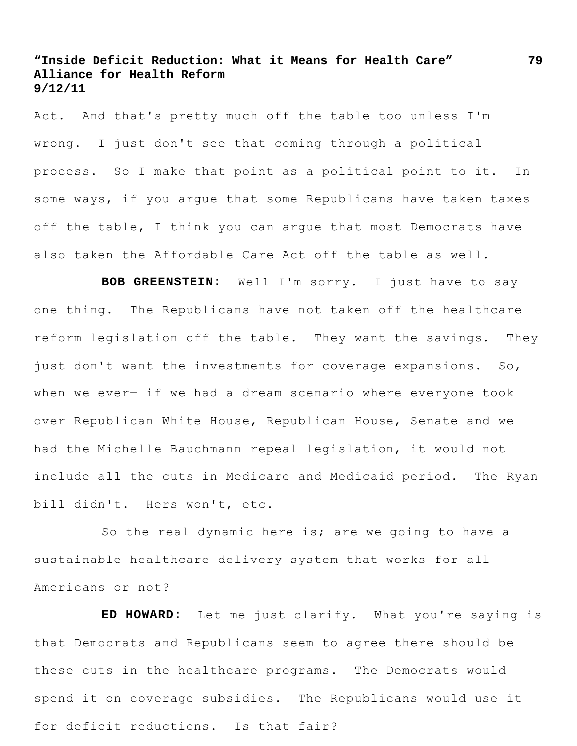Act. And that's pretty much off the table too unless I'm wrong. I just don't see that coming through a political process. So I make that point as a political point to it. In some ways, if you argue that some Republicans have taken taxes off the table, I think you can arque that most Democrats have also taken the Affordable Care Act off the table as well.

**BOB GREENSTEIN:** Well I'm sorry. I just have to say one thing. The Republicans have not taken off the healthcare reform legislation off the table. They want the savings. They just don't want the investments for coverage expansions. So, when we ever- if we had a dream scenario where everyone took over Republican White House, Republican House, Senate and we had the Michelle Bauchmann repeal legislation, it would not include all the cuts in Medicare and Medicaid period. The Ryan bill didn't. Hers won't, etc.

So the real dynamic here is; are we going to have a sustainable healthcare delivery system that works for all Americans or not?

**ED HOWARD:** Let me just clarify. What you're saying is that Democrats and Republicans seem to agree there should be these cuts in the healthcare programs. The Democrats would spend it on coverage subsidies. The Republicans would use it for deficit reductions. Is that fair?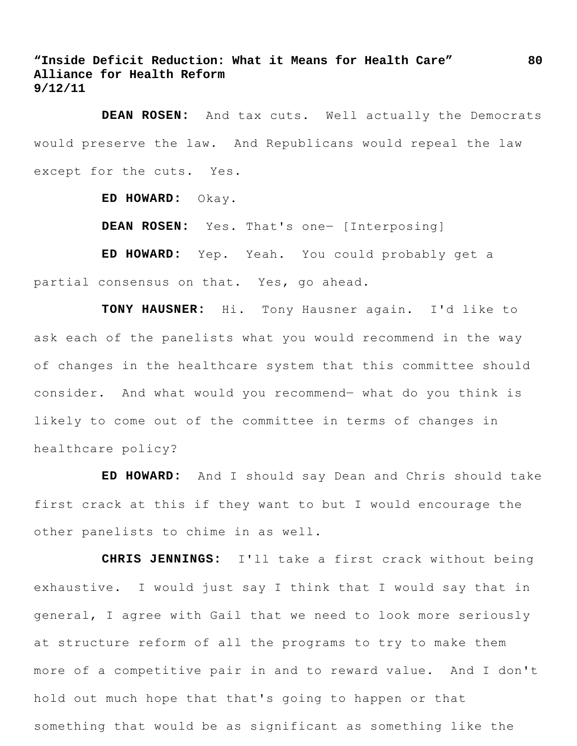**DEAN ROSEN:** And tax cuts. Well actually the Democrats would preserve the law. And Republicans would repeal the law except for the cuts. Yes.

**ED HOWARD:** Okay.

**DEAN ROSEN:** Yes. That's one― [Interposing]

**ED HOWARD:** Yep. Yeah. You could probably get a partial consensus on that. Yes, go ahead.

**TONY HAUSNER:** Hi. Tony Hausner again. I'd like to ask each of the panelists what you would recommend in the way of changes in the healthcare system that this committee should consider. And what would you recommend― what do you think is likely to come out of the committee in terms of changes in healthcare policy?

**ED HOWARD:** And I should say Dean and Chris should take first crack at this if they want to but I would encourage the other panelists to chime in as well.

**CHRIS JENNINGS:** I'll take a first crack without being exhaustive. I would just say I think that I would say that in general, I agree with Gail that we need to look more seriously at structure reform of all the programs to try to make them more of a competitive pair in and to reward value. And I don't hold out much hope that that's going to happen or that something that would be as significant as something like the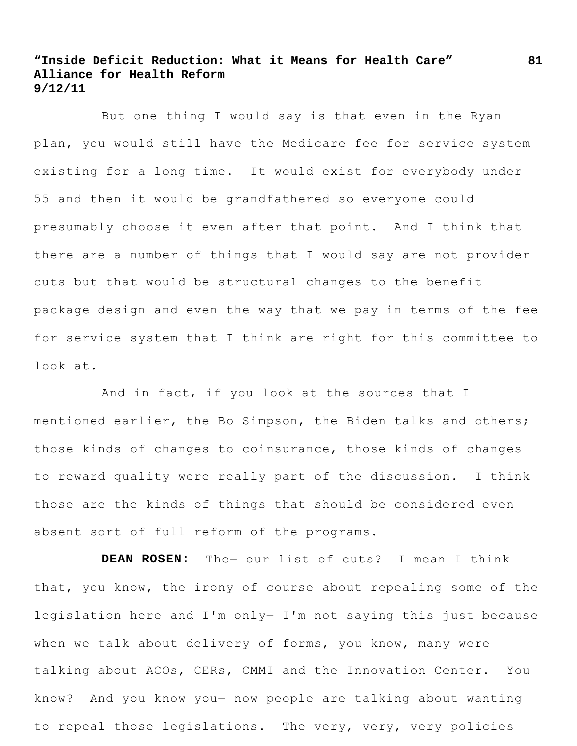But one thing I would say is that even in the Ryan plan, you would still have the Medicare fee for service system existing for a long time. It would exist for everybody under 55 and then it would be grandfathered so everyone could presumably choose it even after that point. And I think that there are a number of things that I would say are not provider cuts but that would be structural changes to the benefit package design and even the way that we pay in terms of the fee for service system that I think are right for this committee to look at.

And in fact, if you look at the sources that I mentioned earlier, the Bo Simpson, the Biden talks and others; those kinds of changes to coinsurance, those kinds of changes to reward quality were really part of the discussion. I think those are the kinds of things that should be considered even absent sort of full reform of the programs.

**DEAN ROSEN:** The― our list of cuts? I mean I think that, you know, the irony of course about repealing some of the legislation here and I'm only― I'm not saying this just because when we talk about delivery of forms, you know, many were talking about ACOs, CERs, CMMI and the Innovation Center. You know? And you know you― now people are talking about wanting to repeal those legislations. The very, very, very policies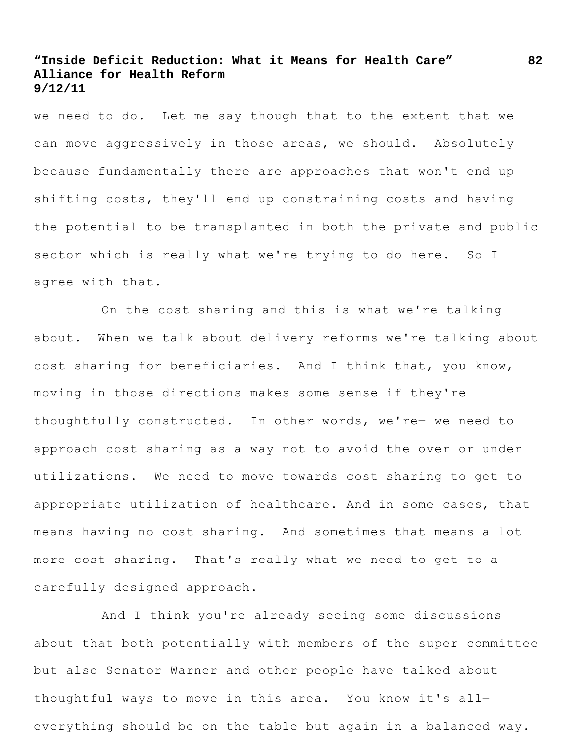we need to do. Let me say though that to the extent that we can move aggressively in those areas, we should. Absolutely because fundamentally there are approaches that won't end up shifting costs, they'll end up constraining costs and having the potential to be transplanted in both the private and public sector which is really what we're trying to do here. So I agree with that.

On the cost sharing and this is what we're talking about. When we talk about delivery reforms we're talking about cost sharing for beneficiaries. And I think that, you know, moving in those directions makes some sense if they're thoughtfully constructed. In other words, we're― we need to approach cost sharing as a way not to avoid the over or under utilizations. We need to move towards cost sharing to get to appropriate utilization of healthcare. And in some cases, that means having no cost sharing. And sometimes that means a lot more cost sharing. That's really what we need to get to a carefully designed approach.

And I think you're already seeing some discussions about that both potentially with members of the super committee but also Senator Warner and other people have talked about thoughtful ways to move in this area. You know it's all― everything should be on the table but again in a balanced way.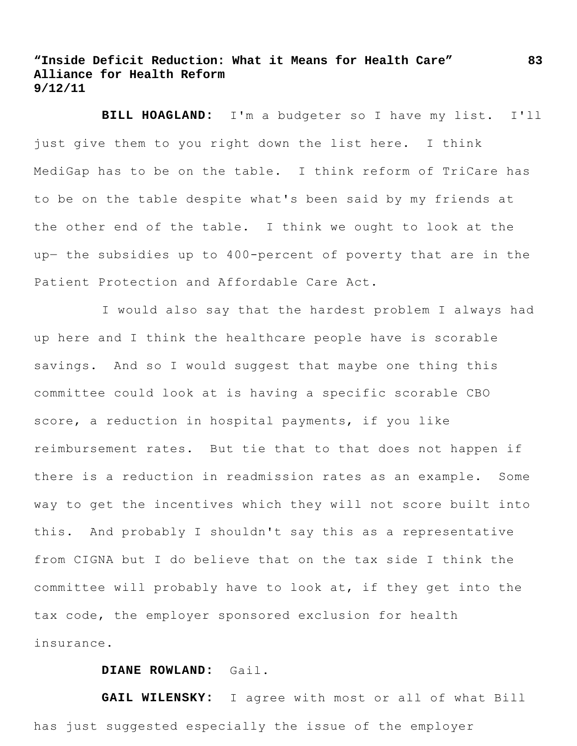**BILL HOAGLAND:** I'm a budgeter so I have my list. I'll just give them to you right down the list here. I think MediGap has to be on the table. I think reform of TriCare has to be on the table despite what's been said by my friends at the other end of the table. I think we ought to look at the up― the subsidies up to 400-percent of poverty that are in the Patient Protection and Affordable Care Act.

I would also say that the hardest problem I always had up here and I think the healthcare people have is scorable savings. And so I would suggest that maybe one thing this committee could look at is having a specific scorable CBO score, a reduction in hospital payments, if you like reimbursement rates. But tie that to that does not happen if there is a reduction in readmission rates as an example. Some way to get the incentives which they will not score built into this. And probably I shouldn't say this as a representative from CIGNA but I do believe that on the tax side I think the committee will probably have to look at, if they get into the tax code, the employer sponsored exclusion for health insurance.

### **DIANE ROWLAND:** Gail.

**GAIL WILENSKY:** I agree with most or all of what Bill has just suggested especially the issue of the employer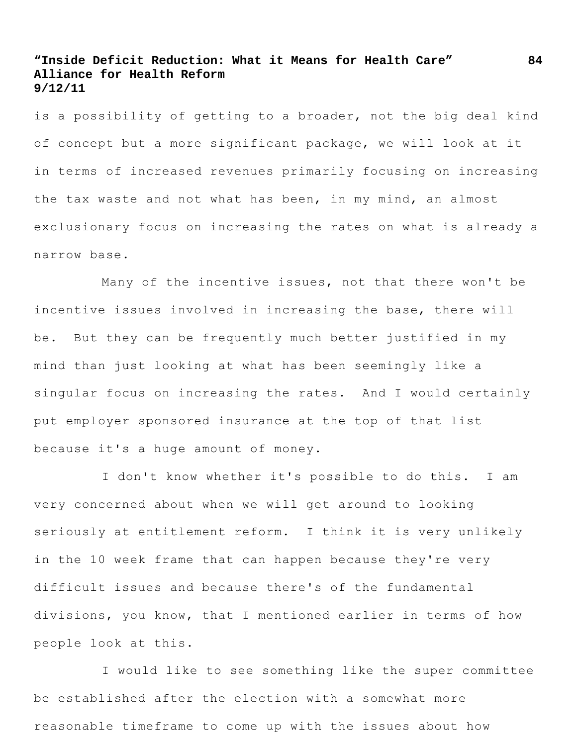is a possibility of getting to a broader, not the big deal kind of concept but a more significant package, we will look at it in terms of increased revenues primarily focusing on increasing the tax waste and not what has been, in my mind, an almost exclusionary focus on increasing the rates on what is already a narrow base.

Many of the incentive issues, not that there won't be incentive issues involved in increasing the base, there will be. But they can be frequently much better justified in my mind than just looking at what has been seemingly like a singular focus on increasing the rates. And I would certainly put employer sponsored insurance at the top of that list because it's a huge amount of money.

I don't know whether it's possible to do this. I am very concerned about when we will get around to looking seriously at entitlement reform. I think it is very unlikely in the 10 week frame that can happen because they're very difficult issues and because there's of the fundamental divisions, you know, that I mentioned earlier in terms of how people look at this.

I would like to see something like the super committee be established after the election with a somewhat more reasonable timeframe to come up with the issues about how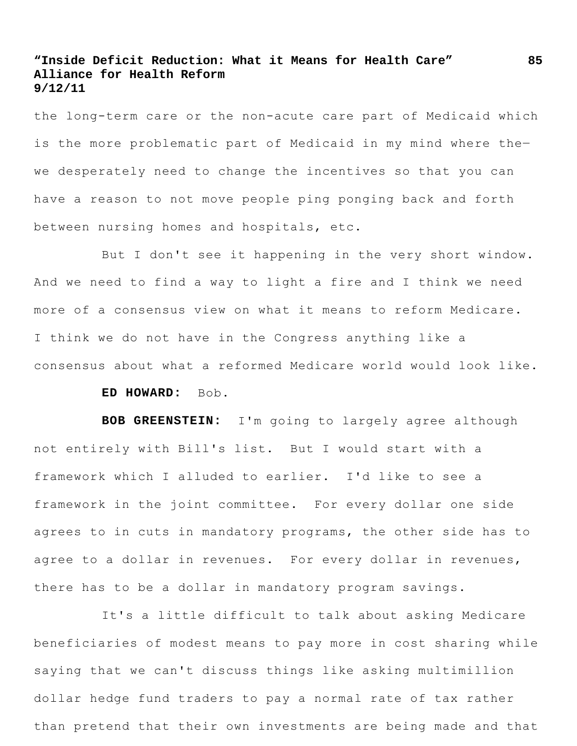the long-term care or the non-acute care part of Medicaid which is the more problematic part of Medicaid in my mind where the― we desperately need to change the incentives so that you can have a reason to not move people ping ponging back and forth between nursing homes and hospitals, etc.

But I don't see it happening in the very short window. And we need to find a way to light a fire and I think we need more of a consensus view on what it means to reform Medicare. I think we do not have in the Congress anything like a consensus about what a reformed Medicare world would look like.

### **ED HOWARD:** Bob.

**BOB GREENSTEIN:** I'm going to largely agree although not entirely with Bill's list. But I would start with a framework which I alluded to earlier. I'd like to see a framework in the joint committee. For every dollar one side agrees to in cuts in mandatory programs, the other side has to agree to a dollar in revenues. For every dollar in revenues, there has to be a dollar in mandatory program savings.

It's a little difficult to talk about asking Medicare beneficiaries of modest means to pay more in cost sharing while saying that we can't discuss things like asking multimillion dollar hedge fund traders to pay a normal rate of tax rather than pretend that their own investments are being made and that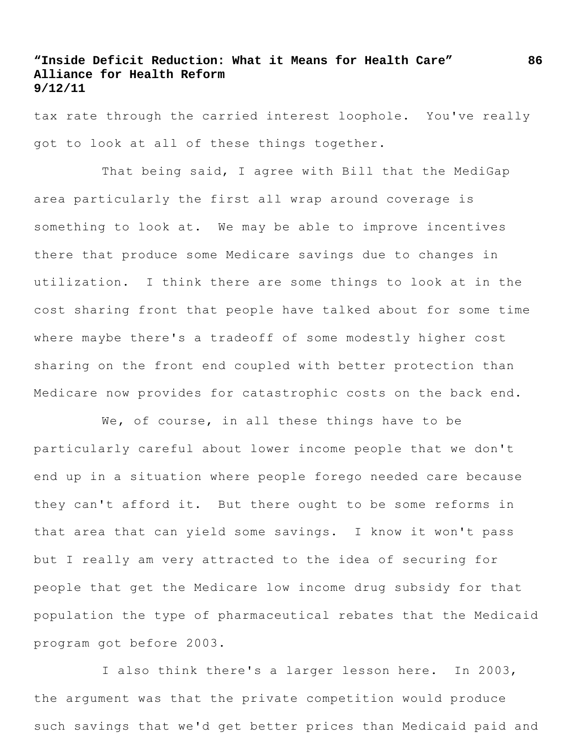tax rate through the carried interest loophole. You've really got to look at all of these things together.

That being said, I agree with Bill that the MediGap area particularly the first all wrap around coverage is something to look at. We may be able to improve incentives there that produce some Medicare savings due to changes in utilization. I think there are some things to look at in the cost sharing front that people have talked about for some time where maybe there's a tradeoff of some modestly higher cost sharing on the front end coupled with better protection than Medicare now provides for catastrophic costs on the back end.

We, of course, in all these things have to be particularly careful about lower income people that we don't end up in a situation where people forego needed care because they can't afford it. But there ought to be some reforms in that area that can yield some savings. I know it won't pass but I really am very attracted to the idea of securing for people that get the Medicare low income drug subsidy for that population the type of pharmaceutical rebates that the Medicaid program got before 2003.

I also think there's a larger lesson here. In 2003, the argument was that the private competition would produce such savings that we'd get better prices than Medicaid paid and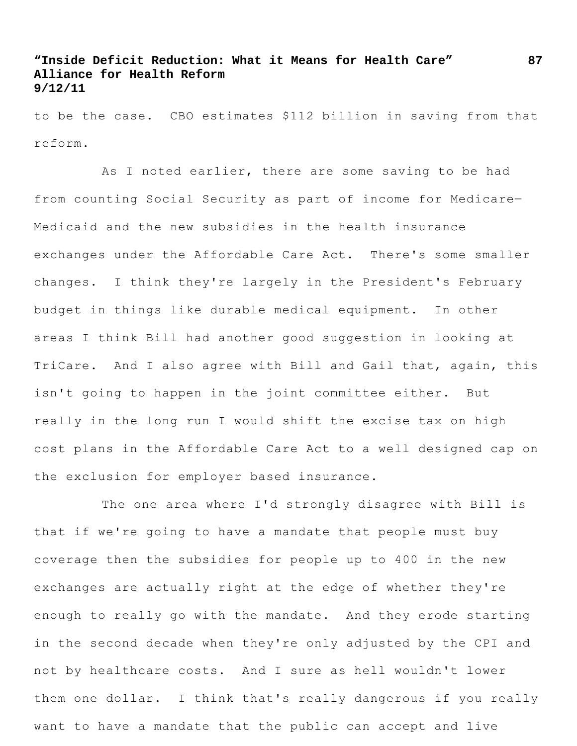to be the case. CBO estimates \$112 billion in saving from that reform.

As I noted earlier, there are some saving to be had from counting Social Security as part of income for Medicare-Medicaid and the new subsidies in the health insurance exchanges under the Affordable Care Act. There's some smaller changes. I think they're largely in the President's February budget in things like durable medical equipment. In other areas I think Bill had another good suggestion in looking at TriCare. And I also agree with Bill and Gail that, again, this isn't going to happen in the joint committee either. But really in the long run I would shift the excise tax on high cost plans in the Affordable Care Act to a well designed cap on the exclusion for employer based insurance.

The one area where I'd strongly disagree with Bill is that if we're going to have a mandate that people must buy coverage then the subsidies for people up to 400 in the new exchanges are actually right at the edge of whether they're enough to really go with the mandate. And they erode starting in the second decade when they're only adjusted by the CPI and not by healthcare costs. And I sure as hell wouldn't lower them one dollar. I think that's really dangerous if you really want to have a mandate that the public can accept and live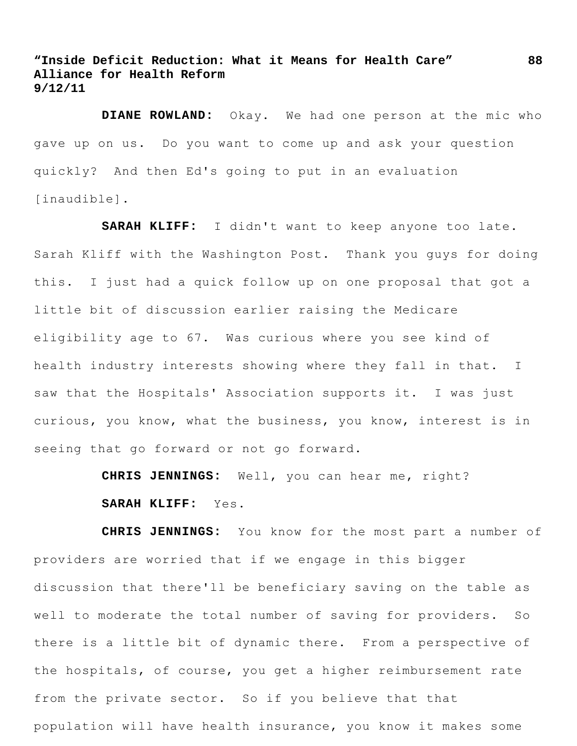**DIANE ROWLAND:** Okay. We had one person at the mic who gave up on us. Do you want to come up and ask your question quickly? And then Ed's going to put in an evaluation [inaudible].

**SARAH KLIFF:** I didn't want to keep anyone too late. Sarah Kliff with the Washington Post. Thank you guys for doing this. I just had a quick follow up on one proposal that got a little bit of discussion earlier raising the Medicare eligibility age to 67. Was curious where you see kind of health industry interests showing where they fall in that. I saw that the Hospitals' Association supports it. I was just curious, you know, what the business, you know, interest is in seeing that go forward or not go forward.

**CHRIS JENNINGS:** Well, you can hear me, right?

### **SARAH KLIFF:** Yes.

**CHRIS JENNINGS:** You know for the most part a number of providers are worried that if we engage in this bigger discussion that there'll be beneficiary saving on the table as well to moderate the total number of saving for providers. So there is a little bit of dynamic there. From a perspective of the hospitals, of course, you get a higher reimbursement rate from the private sector. So if you believe that that population will have health insurance, you know it makes some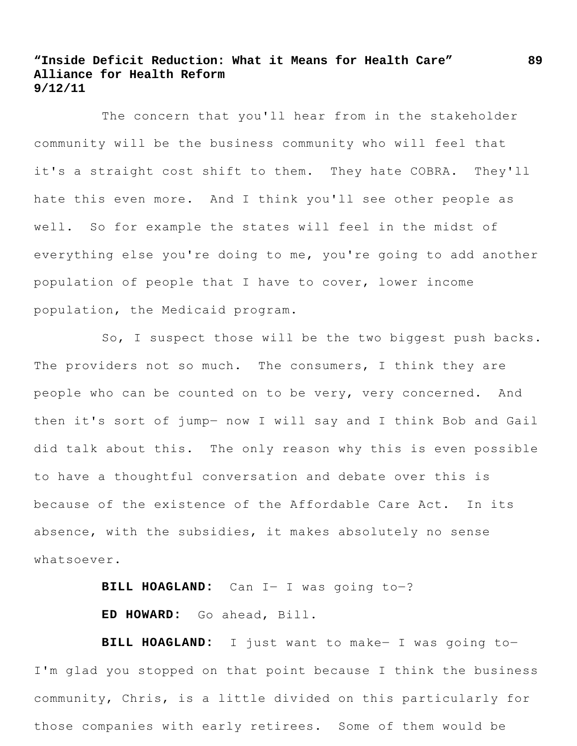The concern that you'll hear from in the stakeholder community will be the business community who will feel that it's a straight cost shift to them. They hate COBRA. They'll hate this even more. And I think you'll see other people as well. So for example the states will feel in the midst of everything else you're doing to me, you're going to add another population of people that I have to cover, lower income population, the Medicaid program.

So, I suspect those will be the two biggest push backs. The providers not so much. The consumers, I think they are people who can be counted on to be very, very concerned. And then it's sort of jump― now I will say and I think Bob and Gail did talk about this. The only reason why this is even possible to have a thoughtful conversation and debate over this is because of the existence of the Affordable Care Act. In its absence, with the subsidies, it makes absolutely no sense whatsoever.

**BILL HOAGLAND:** Can I― I was going to―?

**ED HOWARD:** Go ahead, Bill.

**BILL HOAGLAND:** I just want to make― I was going to― I'm glad you stopped on that point because I think the business community, Chris, is a little divided on this particularly for those companies with early retirees. Some of them would be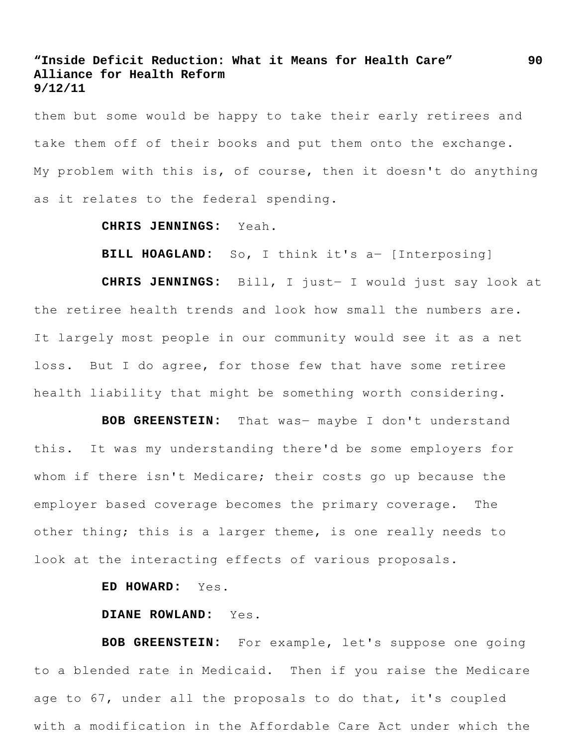them but some would be happy to take their early retirees and take them off of their books and put them onto the exchange. My problem with this is, of course, then it doesn't do anything as it relates to the federal spending.

#### **CHRIS JENNINGS:** Yeah.

**BILL HOAGLAND:** So, I think it's a― [Interposing]

**CHRIS JENNINGS:** Bill, I just― I would just say look at the retiree health trends and look how small the numbers are. It largely most people in our community would see it as a net loss. But I do agree, for those few that have some retiree health liability that might be something worth considering.

**BOB GREENSTEIN:** That was― maybe I don't understand this. It was my understanding there'd be some employers for whom if there isn't Medicare; their costs go up because the employer based coverage becomes the primary coverage. The other thing; this is a larger theme, is one really needs to look at the interacting effects of various proposals.

**ED HOWARD:** Yes.

#### **DIANE ROWLAND:** Yes.

**BOB GREENSTEIN:** For example, let's suppose one going to a blended rate in Medicaid. Then if you raise the Medicare age to 67, under all the proposals to do that, it's coupled with a modification in the Affordable Care Act under which the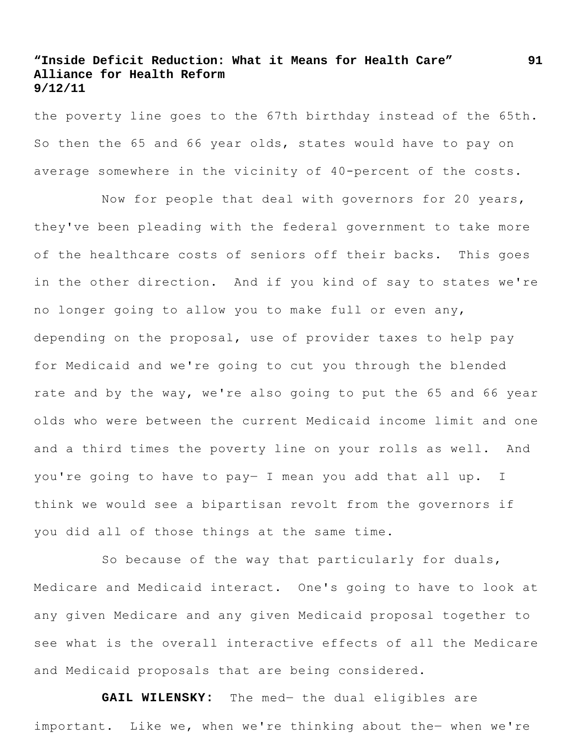the poverty line goes to the 67th birthday instead of the 65th. So then the 65 and 66 year olds, states would have to pay on average somewhere in the vicinity of 40-percent of the costs.

Now for people that deal with governors for 20 years, they've been pleading with the federal government to take more of the healthcare costs of seniors off their backs. This goes in the other direction. And if you kind of say to states we're no longer going to allow you to make full or even any, depending on the proposal, use of provider taxes to help pay for Medicaid and we're going to cut you through the blended rate and by the way, we're also going to put the 65 and 66 year olds who were between the current Medicaid income limit and one and a third times the poverty line on your rolls as well. And you're going to have to pay― I mean you add that all up. I think we would see a bipartisan revolt from the governors if you did all of those things at the same time.

So because of the way that particularly for duals, Medicare and Medicaid interact. One's going to have to look at any given Medicare and any given Medicaid proposal together to see what is the overall interactive effects of all the Medicare and Medicaid proposals that are being considered.

**GAIL WILENSKY:** The med― the dual eligibles are important. Like we, when we're thinking about the- when we're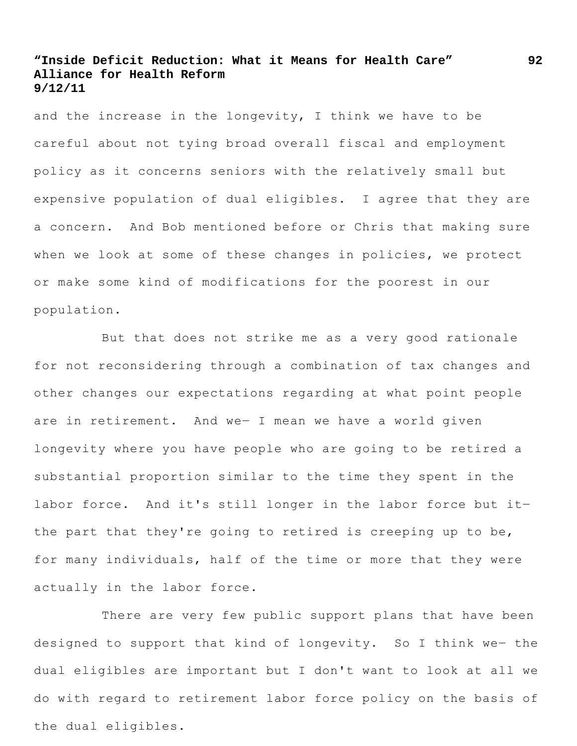and the increase in the longevity, I think we have to be careful about not tying broad overall fiscal and employment policy as it concerns seniors with the relatively small but expensive population of dual eligibles. I agree that they are a concern. And Bob mentioned before or Chris that making sure when we look at some of these changes in policies, we protect or make some kind of modifications for the poorest in our population.

But that does not strike me as a very good rationale for not reconsidering through a combination of tax changes and other changes our expectations regarding at what point people are in retirement. And we― I mean we have a world given longevity where you have people who are going to be retired a substantial proportion similar to the time they spent in the labor force. And it's still longer in the labor force but itthe part that they're going to retired is creeping up to be, for many individuals, half of the time or more that they were actually in the labor force.

There are very few public support plans that have been designed to support that kind of longevity. So I think we- the dual eligibles are important but I don't want to look at all we do with regard to retirement labor force policy on the basis of the dual eligibles.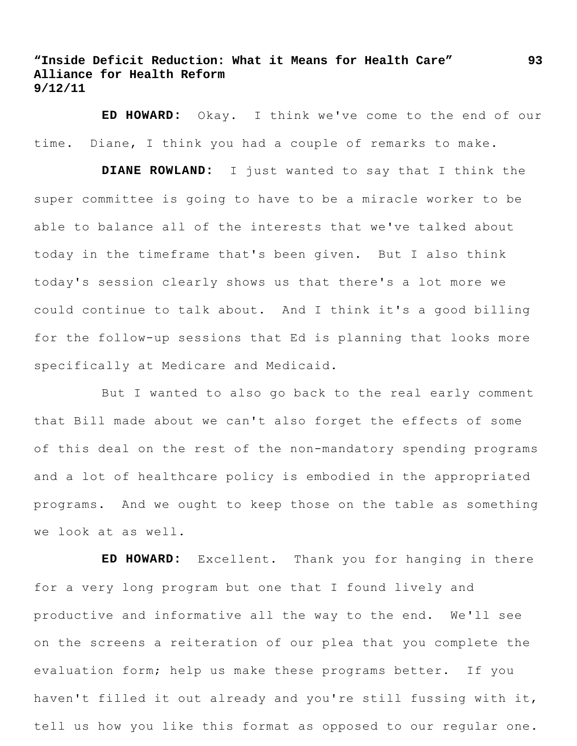**ED HOWARD:** Okay. I think we've come to the end of our time. Diane, I think you had a couple of remarks to make.

**DIANE ROWLAND:** I just wanted to say that I think the super committee is going to have to be a miracle worker to be able to balance all of the interests that we've talked about today in the timeframe that's been given. But I also think today's session clearly shows us that there's a lot more we could continue to talk about. And I think it's a good billing for the follow-up sessions that Ed is planning that looks more specifically at Medicare and Medicaid.

But I wanted to also go back to the real early comment that Bill made about we can't also forget the effects of some of this deal on the rest of the non-mandatory spending programs and a lot of healthcare policy is embodied in the appropriated programs. And we ought to keep those on the table as something we look at as well.

**ED HOWARD:** Excellent. Thank you for hanging in there for a very long program but one that I found lively and productive and informative all the way to the end. We'll see on the screens a reiteration of our plea that you complete the evaluation form; help us make these programs better. If you haven't filled it out already and you're still fussing with it, tell us how you like this format as opposed to our regular one.